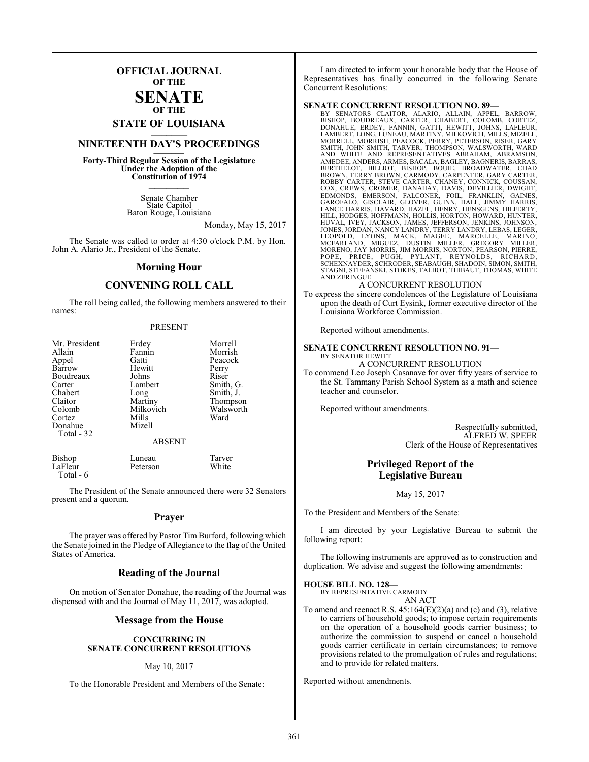## **OFFICIAL JOURNAL OF THE**

#### **SENATE OF THE**

# **STATE OF LOUISIANA \_\_\_\_\_\_\_**

## **NINETEENTH DAY'S PROCEEDINGS \_\_\_\_\_\_\_**

**Forty-Third Regular Session of the Legislature Under the Adoption of the Constitution of 1974 \_\_\_\_\_\_\_**

> Senate Chamber State Capitol Baton Rouge, Louisiana

> > Monday, May 15, 2017

The Senate was called to order at 4:30 o'clock P.M. by Hon. John A. Alario Jr., President of the Senate.

#### **Morning Hour**

#### **CONVENING ROLL CALL**

The roll being called, the following members answered to their names:

#### PRESENT

| Mr. President | Erdey         | Morrell   |
|---------------|---------------|-----------|
| Allain        | Fannin        | Morrish   |
| Appel         | Gatti         | Peacock   |
| Barrow        | Hewitt        | Perry     |
| Boudreaux     | Johns         | Riser     |
| Carter        | Lambert       | Smith, G. |
| Chabert       | Long          | Smith, J. |
| Claitor       | Martiny       | Thompson  |
| Colomb        | Milkovich     | Walsworth |
| Cortez        | Mills         | Ward      |
| Donahue       | Mizell        |           |
| Total $-32$   |               |           |
|               | <b>ABSENT</b> |           |

| Bishop    | Luneau   | Tarver |
|-----------|----------|--------|
| LaFleur   | Peterson | White  |
| Total - 6 |          |        |

The President of the Senate announced there were 32 Senators present and a quorum.

#### **Prayer**

The prayer was offered by Pastor Tim Burford, following which the Senate joined in the Pledge of Allegiance to the flag of the United States of America.

#### **Reading of the Journal**

On motion of Senator Donahue, the reading of the Journal was dispensed with and the Journal of May 11, 2017, was adopted.

#### **Message from the House**

#### **CONCURRING IN SENATE CONCURRENT RESOLUTIONS**

#### May 10, 2017

To the Honorable President and Members of the Senate:

I am directed to inform your honorable body that the House of Representatives has finally concurred in the following Senate Concurrent Resolutions:

#### **SENATE CONCURRENT RESOLUTION NO. 89—**

BY SENATORS CLAITOR, ALARIO, ALLAIN, APPEL, BARROW,<br>BISHOP, BOUDREAUX, CARTER, CHABERT, COLOMB, CORTEZ,<br>DONAHUE, ERDEY, FANNIN, GATTI, HEWITT, JOHNS, LAFLEUR,<br>LAMBERT,LONG,LUNEAU,MARTINY,MILKOVICH,MILLS,MIZELL, MORRELL, MORRISH, PEACOCK, PERRY, PETERSON, RISER, GARY SMITH, JOHN SMITH, TARVER, THOMPSON, WALSWORTH, WARD AND WHITE AND REPRESENTATIVES ABRAHAM, ABRAMSON, AMEDEE, ANDERS, ARMES, BACALA, BAGLEY, BAGNERIS, BARRAS, BERTHELOT, BILLIOT, BISHOP, BOUIE, BROADWATER, CHAD<br>BROWN, TERRY BROWN, CARMODY, CARPENTER, GARY CARTER,<br>ROBBY CARTER, STEVE CARTER, CHANEY, CONNICK, COUSSAN,<br>COX, C HUVAL, IVEY, JACKSON, JAMES, JEFFERSON, JENKINS, JOHNSON,<br>JONES, JORDAN, NANCY LANDRY, TERRY LANDRY, LEBAS, LEGOPOLD, LYONS, MACK, MAGEE, MARCELLE, MARINO,<br>LEOPOLD, LYONS, MACK, MAGEE, MARCELLE, MARINO,<br>MCFARLAND, MIGUEZ, STAGNI, STEFANSKI, STOKES, TALBOT, THIBAUT, THOMAS, WHITE AND ZERINGUE

#### A CONCURRENT RESOLUTION

To express the sincere condolences of the Legislature of Louisiana upon the death of Curt Eysink, former executive director of the Louisiana Workforce Commission.

Reported without amendments.

#### **SENATE CONCURRENT RESOLUTION NO. 91—** BY SENATOR HEWITT

A CONCURRENT RESOLUTION

To commend Leo Joseph Casanave for over fifty years of service to the St. Tammany Parish School System as a math and science teacher and counselor.

Reported without amendments.

Respectfully submitted, ALFRED W. SPEER Clerk of the House of Representatives

#### **Privileged Report of the Legislative Bureau**

May 15, 2017

To the President and Members of the Senate:

I am directed by your Legislative Bureau to submit the following report:

The following instruments are approved as to construction and duplication. We advise and suggest the following amendments:

#### **HOUSE BILL NO. 128—**

BY REPRESENTATIVE CARMODY AN ACT

To amend and reenact R.S.  $45:164(E)(2)(a)$  and (c) and (3), relative to carriers of household goods; to impose certain requirements on the operation of a household goods carrier business; to authorize the commission to suspend or cancel a household goods carrier certificate in certain circumstances; to remove provisions related to the promulgation of rules and regulations; and to provide for related matters.

Reported without amendments.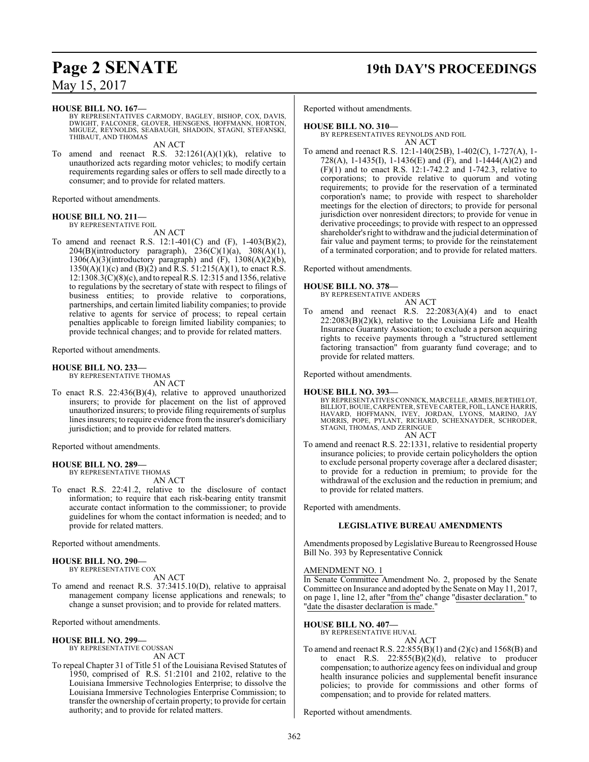## **Page 2 SENATE 19th DAY'S PROCEEDINGS**

May 15, 2017

#### **HOUSE BILL NO. 167—**

BY REPRESENTATIVES CARMODY, BAGLEY, BISHOP, COX, DAVIS, DWIGHT, FALCONER, GLOVER, HENSGENS, HOFFMANN, HORTON, MIGUEZ, REYNOLDS, SEABAUGH, SHADOIN, STAGNI, STEFANSKI, THIBAUT, AND THOMAS AN ACT

To amend and reenact R.S.  $32:1261(A)(1)(k)$ , relative to unauthorized acts regarding motor vehicles; to modify certain requirements regarding sales or offers to sell made directly to a consumer; and to provide for related matters.

Reported without amendments.

#### **HOUSE BILL NO. 211—**

BY REPRESENTATIVE FOIL AN ACT

To amend and reenact R.S. 12:1-401(C) and (F), 1-403(B)(2),  $204(B)(introductory$  paragraph),  $236(C)(1)(a)$ ,  $308(A)(1)$ , 1306(A)(3)(introductory paragraph) and (F), 1308(A)(2)(b),  $1350(A)(1)(c)$  and  $(B)(2)$  and R.S.  $51:215(A)(1)$ , to enact R.S. 12:1308.3(C)(8)(c), and to repeal R.S. 12:315 and 1356, relative to regulations by the secretary of state with respect to filings of business entities; to provide relative to corporations, partnerships, and certain limited liability companies; to provide relative to agents for service of process; to repeal certain penalties applicable to foreign limited liability companies; to provide technical changes; and to provide for related matters.

Reported without amendments.

#### **HOUSE BILL NO. 233—**

BY REPRESENTATIVE THOMAS

- AN ACT
- To enact R.S. 22:436(B)(4), relative to approved unauthorized insurers; to provide for placement on the list of approved unauthorized insurers; to provide filing requirements of surplus lines insurers; to require evidence from the insurer's domiciliary jurisdiction; and to provide for related matters.

Reported without amendments.

#### **HOUSE BILL NO. 289—**

BY REPRESENTATIVE THOMAS AN ACT

To enact R.S. 22:41.2, relative to the disclosure of contact information; to require that each risk-bearing entity transmit accurate contact information to the commissioner; to provide guidelines for whom the contact information is needed; and to provide for related matters.

Reported without amendments.

#### **HOUSE BILL NO. 290—** BY REPRESENTATIVE COX

AN ACT

To amend and reenact R.S. 37:3415.10(D), relative to appraisal management company license applications and renewals; to change a sunset provision; and to provide for related matters.

Reported without amendments.

#### **HOUSE BILL NO. 299—**

BY REPRESENTATIVE COUSSAN AN ACT

To repeal Chapter 31 of Title 51 of the Louisiana Revised Statutes of 1950, comprised of R.S. 51:2101 and 2102, relative to the Louisiana Immersive Technologies Enterprise; to dissolve the Louisiana Immersive Technologies Enterprise Commission; to transfer the ownership of certain property; to provide for certain authority; and to provide for related matters.

Reported without amendments.

### **HOUSE BILL NO. 310—**

BY REPRESENTATIVES REYNOLDS AND FOIL

- AN ACT
- To amend and reenact R.S. 12:1-140(25B), 1-402(C), 1-727(A), 1- 728(A), 1-1435(I), 1-1436(E) and (F), and 1-1444(A)(2) and (F)(1) and to enact R.S. 12:1-742.2 and 1-742.3, relative to corporations; to provide relative to quorum and voting requirements; to provide for the reservation of a terminated corporation's name; to provide with respect to shareholder meetings for the election of directors; to provide for personal jurisdiction over nonresident directors; to provide for venue in derivative proceedings; to provide with respect to an oppressed shareholder's right to withdraw and the judicial determination of fair value and payment terms; to provide for the reinstatement of a terminated corporation; and to provide for related matters.

Reported without amendments.

#### **HOUSE BILL NO. 378—**

BY REPRESENTATIVE ANDERS

### AN ACT

To amend and reenact R.S. 22:2083(A)(4) and to enact  $22:2083(B)(2)(k)$ , relative to the Louisiana Life and Health Insurance Guaranty Association; to exclude a person acquiring rights to receive payments through a "structured settlement factoring transaction" from guaranty fund coverage; and to provide for related matters.

Reported without amendments.

#### **HOUSE BILL NO. 393—**

BY REPRESENTATIVES CONNICK, MARCELLE, ARMES, BERTHELOT,<br>BILLIOT, BOUIE, CARPENTER, STEVE CARTER, FOIL, LANCE HARRIS,<br>HAVARD, HOFFMANN, IVEY, JORDAN, LYONS, MARINO, JAY<br>MORRIS, POPE, PYLANT, RICHARD, SCHEX AN ACT

To amend and reenact R.S. 22:1331, relative to residential property insurance policies; to provide certain policyholders the option to exclude personal property coverage after a declared disaster; to provide for a reduction in premium; to provide for the withdrawal of the exclusion and the reduction in premium; and to provide for related matters.

Reported with amendments.

#### **LEGISLATIVE BUREAU AMENDMENTS**

Amendments proposed by Legislative Bureau to Reengrossed House Bill No. 393 by Representative Connick

#### AMENDMENT NO. 1

In Senate Committee Amendment No. 2, proposed by the Senate Committee on Insurance and adopted by the Senate on May 11, 2017, on page 1, line 12, after "from the" change "disaster declaration." to "date the disaster declaration is made."

**HOUSE BILL NO. 407—**

- BY REPRESENTATIVE HUVAL AN ACT
- To amend and reenact R.S. 22:855(B)(1) and (2)(c) and 1568(B) and to enact R.S.  $22:855(B)(2)(d)$ , relative to producer compensation; to authorize agency fees on individual and group health insurance policies and supplemental benefit insurance policies; to provide for commissions and other forms of compensation; and to provide for related matters.

Reported without amendments.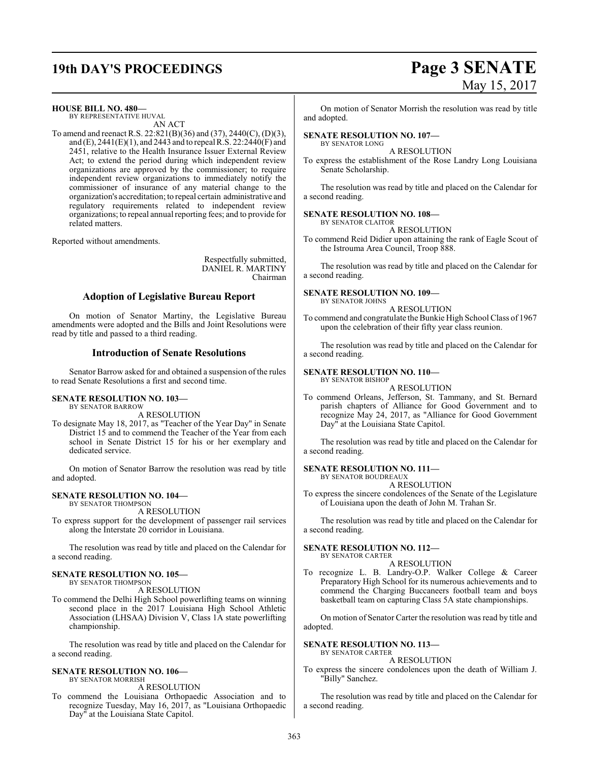# **19th DAY'S PROCEEDINGS Page 3 SENATE**

# May 15, 2017

**HOUSE BILL NO. 480—**

BY REPRESENTATIVE HUVAL AN ACT

To amend and reenact R.S. 22:821(B)(36) and (37), 2440(C), (D)(3), and (E),  $2441(E)(1)$ , and  $2443$  and to repeal R.S.  $22:2440(F)$  and 2451, relative to the Health Insurance Issuer External Review Act; to extend the period during which independent review organizations are approved by the commissioner; to require independent review organizations to immediately notify the commissioner of insurance of any material change to the organization's accreditation; to repeal certain administrative and regulatory requirements related to independent review organizations; to repeal annual reporting fees; and to provide for related matters.

Reported without amendments.

Respectfully submitted, DANIEL R. MARTINY Chairman

#### **Adoption of Legislative Bureau Report**

On motion of Senator Martiny, the Legislative Bureau amendments were adopted and the Bills and Joint Resolutions were read by title and passed to a third reading.

#### **Introduction of Senate Resolutions**

Senator Barrow asked for and obtained a suspension of the rules to read Senate Resolutions a first and second time.

#### **SENATE RESOLUTION NO. 103—** BY SENATOR BARROW

A RESOLUTION

To designate May 18, 2017, as "Teacher of the Year Day" in Senate District 15 and to commend the Teacher of the Year from each school in Senate District 15 for his or her exemplary and dedicated service.

On motion of Senator Barrow the resolution was read by title and adopted.

#### **SENATE RESOLUTION NO. 104—** BY SENATOR THOMPSON

A RESOLUTION

To express support for the development of passenger rail services along the Interstate 20 corridor in Louisiana.

The resolution was read by title and placed on the Calendar for a second reading.

#### **SENATE RESOLUTION NO. 105—**

BY SENATOR THOMPSON A RESOLUTION

To commend the Delhi High School powerlifting teams on winning second place in the 2017 Louisiana High School Athletic Association (LHSAA) Division V, Class 1A state powerlifting championship.

The resolution was read by title and placed on the Calendar for a second reading.

#### **SENATE RESOLUTION NO. 106—** BY SENATOR MORRISH

A RESOLUTION

To commend the Louisiana Orthopaedic Association and to recognize Tuesday, May 16, 2017, as "Louisiana Orthopaedic Day" at the Louisiana State Capitol.

On motion of Senator Morrish the resolution was read by title and adopted.

#### **SENATE RESOLUTION NO. 107—** BY SENATOR LONG

A RESOLUTION

To express the establishment of the Rose Landry Long Louisiana Senate Scholarship.

The resolution was read by title and placed on the Calendar for a second reading.

#### **SENATE RESOLUTION NO. 108—** BY SENATOR CLAITOR

A RESOLUTION

To commend Reid Didier upon attaining the rank of Eagle Scout of the Istrouma Area Council, Troop 888.

The resolution was read by title and placed on the Calendar for a second reading.

#### **SENATE RESOLUTION NO. 109—**

BY SENATOR JOHNS A RESOLUTION

To commend and congratulate the Bunkie High School Class of 1967 upon the celebration of their fifty year class reunion.

The resolution was read by title and placed on the Calendar for a second reading.

#### **SENATE RESOLUTION NO. 110—** BY SENATOR BISHOP

A RESOLUTION

To commend Orleans, Jefferson, St. Tammany, and St. Bernard parish chapters of Alliance for Good Government and to recognize May 24, 2017, as "Alliance for Good Government Day" at the Louisiana State Capitol.

The resolution was read by title and placed on the Calendar for a second reading.

#### **SENATE RESOLUTION NO. 111—** BY SENATOR BOUDREAUX

A RESOLUTION

To express the sincere condolences of the Senate of the Legislature of Louisiana upon the death of John M. Trahan Sr.

The resolution was read by title and placed on the Calendar for a second reading.

#### **SENATE RESOLUTION NO. 112—** BY SENATOR CARTER

A RESOLUTION

To recognize L. B. Landry-O.P. Walker College & Career Preparatory High School for its numerous achievements and to commend the Charging Buccaneers football team and boys basketball team on capturing Class 5A state championships.

On motion of Senator Carter the resolution was read by title and adopted.

#### **SENATE RESOLUTION NO. 113—**

BY SENATOR CARTER A RESOLUTION

To express the sincere condolences upon the death of William J. "Billy" Sanchez.

The resolution was read by title and placed on the Calendar for a second reading.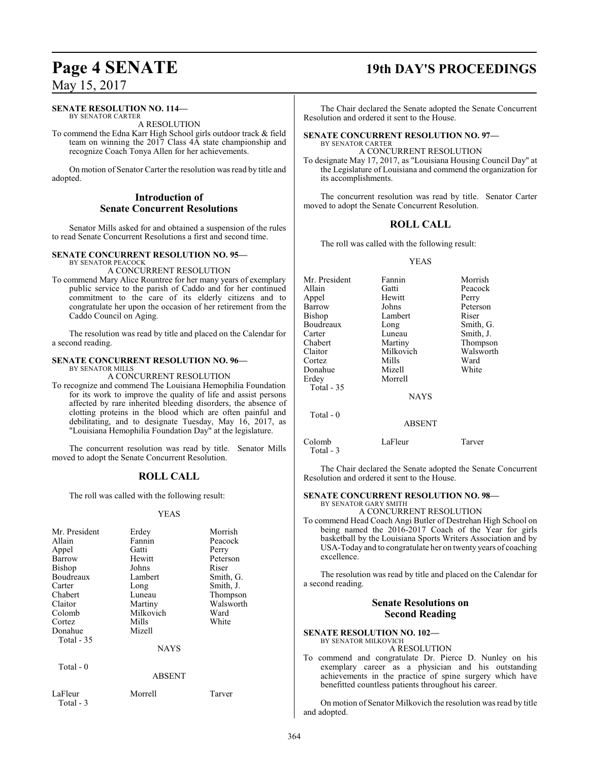#### **SENATE RESOLUTION NO. 114—** BY SENATOR CARTER

A RESOLUTION

To commend the Edna Karr High School girls outdoor track & field team on winning the 2017 Class 4A state championship and recognize Coach Tonya Allen for her achievements.

On motion of Senator Carter the resolution was read by title and adopted.

### **Introduction of Senate Concurrent Resolutions**

Senator Mills asked for and obtained a suspension of the rules to read Senate Concurrent Resolutions a first and second time.

#### **SENATE CONCURRENT RESOLUTION NO. 95—** BY SENATOR PEACOCK

A CONCURRENT RESOLUTION

To commend Mary Alice Rountree for her many years of exemplary public service to the parish of Caddo and for her continued commitment to the care of its elderly citizens and to congratulate her upon the occasion of her retirement from the Caddo Council on Aging.

The resolution was read by title and placed on the Calendar for a second reading.

#### **SENATE CONCURRENT RESOLUTION NO. 96—**

BY SENATOR MILLS

A CONCURRENT RESOLUTION To recognize and commend The Louisiana Hemophilia Foundation for its work to improve the quality of life and assist persons affected by rare inherited bleeding disorders, the absence of clotting proteins in the blood which are often painful and debilitating, and to designate Tuesday, May 16, 2017, as "Louisiana Hemophilia Foundation Day" at the legislature.

The concurrent resolution was read by title. Senator Mills moved to adopt the Senate Concurrent Resolution.

## **ROLL CALL**

The roll was called with the following result:

#### YEAS

| Mr. President        | Erdey         | Morrish   |
|----------------------|---------------|-----------|
| Allain               | Fannin        | Peacock   |
| Appel                | Gatti         | Perry     |
| Barrow               | Hewitt        | Peterson  |
| <b>Bishop</b>        | Johns         | Riser     |
| Boudreaux            | Lambert       | Smith, G. |
| Carter               | Long          | Smith, J. |
| Chabert              | Luneau        | Thompson  |
| Claitor              | Martiny       | Walsworth |
| Colomb               | Milkovich     | Ward      |
| Cortez               | Mills         | White     |
| Donahue              | Mizell        |           |
| Total - 35           |               |           |
|                      | <b>NAYS</b>   |           |
| Total $-0$           |               |           |
|                      | <b>ABSENT</b> |           |
| LaFleur<br>Total - 3 | Morrell       | Tarver    |

## **Page 4 SENATE 19th DAY'S PROCEEDINGS**

The Chair declared the Senate adopted the Senate Concurrent Resolution and ordered it sent to the House.

#### **SENATE CONCURRENT RESOLUTION NO. 97—** BY SENATOR CARTER

A CONCURRENT RESOLUTION

To designate May 17, 2017, as "Louisiana Housing Council Day" at the Legislature of Louisiana and commend the organization for its accomplishments.

The concurrent resolution was read by title. Senator Carter moved to adopt the Senate Concurrent Resolution.

### **ROLL CALL**

The roll was called with the following result:

#### YEAS

|               | Morrish   |
|---------------|-----------|
| Gatti         | Peacock   |
| Hewitt        | Perry     |
| Johns         | Peterson  |
| Lambert       | Riser     |
| Long          | Smith, G. |
| Luneau        | Smith, J. |
| Martiny       | Thompson  |
| Milkovich     | Walsworth |
| Mills         | Ward      |
| Mizell        | White     |
| Morrell       |           |
|               |           |
| <b>NAYS</b>   |           |
|               |           |
| <b>ABSENT</b> |           |
| LaFleur       | Tarver    |
|               | Fannin    |

Total - 3

The Chair declared the Senate adopted the Senate Concurrent Resolution and ordered it sent to the House.

#### **SENATE CONCURRENT RESOLUTION NO. 98—** BY SENATOR GARY SMITH

A CONCURRENT RESOLUTION

To commend Head Coach Angi Butler of Destrehan High School on being named the 2016-2017 Coach of the Year for girls basketball by the Louisiana Sports Writers Association and by USA-Today and to congratulate her on twenty years of coaching excellence.

The resolution was read by title and placed on the Calendar for a second reading.

### **Senate Resolutions on Second Reading**

**SENATE RESOLUTION NO. 102—** BY SENATOR MILKOVICH

A RESOLUTION

To commend and congratulate Dr. Pierce D. Nunley on his exemplary career as a physician and his outstanding achievements in the practice of spine surgery which have benefitted countless patients throughout his career.

On motion of Senator Milkovich the resolution was read by title and adopted.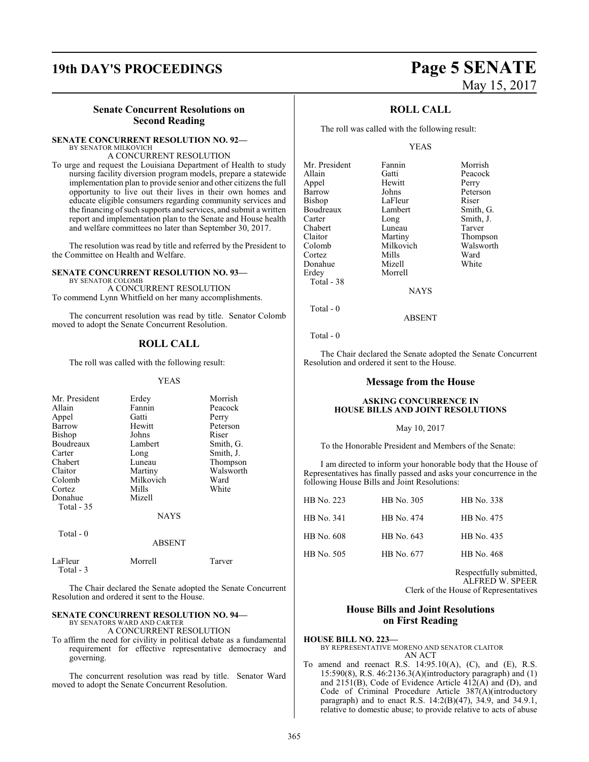## **19th DAY'S PROCEEDINGS Page 5 SENATE**

#### **Senate Concurrent Resolutions on Second Reading**

#### **SENATE CONCURRENT RESOLUTION NO. 92—** BY SENATOR MILKOVICH

A CONCURRENT RESOLUTION

To urge and request the Louisiana Department of Health to study nursing facility diversion program models, prepare a statewide implementation plan to provide senior and other citizens the full opportunity to live out their lives in their own homes and educate eligible consumers regarding community services and the financing of such supports and services, and submit a written report and implementation plan to the Senate and House health and welfare committees no later than September 30, 2017.

The resolution was read by title and referred by the President to the Committee on Health and Welfare.

**SENATE CONCURRENT RESOLUTION NO. 93—**

BY SENATOR COLOMB A CONCURRENT RESOLUTION To commend Lynn Whitfield on her many accomplishments.

The concurrent resolution was read by title. Senator Colomb moved to adopt the Senate Concurrent Resolution.

#### **ROLL CALL**

The roll was called with the following result:

#### YEAS

| Mr. President          | Erdey       | Morrish   |
|------------------------|-------------|-----------|
| Allain                 | Fannin      | Peacock   |
| Appel                  | Gatti       | Perry     |
| Barrow                 | Hewitt      | Peterson  |
| <b>Bishop</b>          | Johns       | Riser     |
| Boudreaux              | Lambert     | Smith, G. |
| Carter                 | Long        | Smith, J. |
| Chabert                | Luneau      | Thompson  |
| Claitor                | Martiny     | Walsworth |
| Colomb                 | Milkovich   | Ward      |
| Cortez                 | Mills       | White     |
| Donahue                | Mizell      |           |
| <b>Total - 35</b>      |             |           |
|                        | <b>NAYS</b> |           |
| Total $-0$             |             |           |
|                        | ABSENT      |           |
| LaFleur<br>$Total - 3$ | Morrell     | Tarver    |

The Chair declared the Senate adopted the Senate Concurrent Resolution and ordered it sent to the House.

### **SENATE CONCURRENT RESOLUTION NO. 94—**

BY SENATORS WARD AND CARTER

A CONCURRENT RESOLUTION

To affirm the need for civility in political debate as a fundamental requirement for effective representative democracy and governing.

The concurrent resolution was read by title. Senator Ward moved to adopt the Senate Concurrent Resolution.

# May 15, 2017

#### **ROLL CALL**

The roll was called with the following result:

#### YEAS

| Mr. President | Fannin      | Morrish   |
|---------------|-------------|-----------|
| Allain        | Gatti       | Peacock   |
| Appel         | Hewitt      | Perry     |
| Barrow        | Johns       | Peterson  |
| Bishop        | LaFleur     | Riser     |
| Boudreaux     | Lambert     | Smith, G. |
| Carter        | Long        | Smith, J. |
| Chabert       | Luneau      | Tarver    |
| Claitor       | Martiny     | Thompson  |
| Colomb        | Milkovich   | Walsworth |
| Cortez        | Mills       | Ward      |
| Donahue       | Mizell      | White     |
| Erdev         | Morrell     |           |
| Total - 38    |             |           |
|               | <b>NAYS</b> |           |
|               |             |           |

Total - 0

Total - 0

The Chair declared the Senate adopted the Senate Concurrent Resolution and ordered it sent to the House.

ABSENT

#### **Message from the House**

#### **ASKING CONCURRENCE IN HOUSE BILLS AND JOINT RESOLUTIONS**

May 10, 2017

To the Honorable President and Members of the Senate:

I am directed to inform your honorable body that the House of Representatives has finally passed and asks your concurrence in the following House Bills and Joint Resolutions:

| HB No. 223 | HB No. 305 | HB No. 338 |
|------------|------------|------------|
| HB No. 341 | HB No. 474 | HB No. 475 |
| HB No. 608 | HB No. 643 | HB No. 435 |
| HB No. 505 | HB No. 677 | HB No. 468 |

Respectfully submitted, ALFRED W. SPEER Clerk of the House of Representatives

#### **House Bills and Joint Resolutions on First Reading**

**HOUSE BILL NO. 223—** BY REPRESENTATIVE MORENO AND SENATOR CLAITOR AN ACT

To amend and reenact R.S. 14:95.10(A), (C), and (E), R.S. 15:590(8), R.S. 46:2136.3(A)(introductory paragraph) and (1) and 2151(B), Code of Evidence Article 412(A) and (D), and Code of Criminal Procedure Article 387(A)(introductory paragraph) and to enact R.S. 14:2(B)(47), 34.9, and 34.9.1, relative to domestic abuse; to provide relative to acts of abuse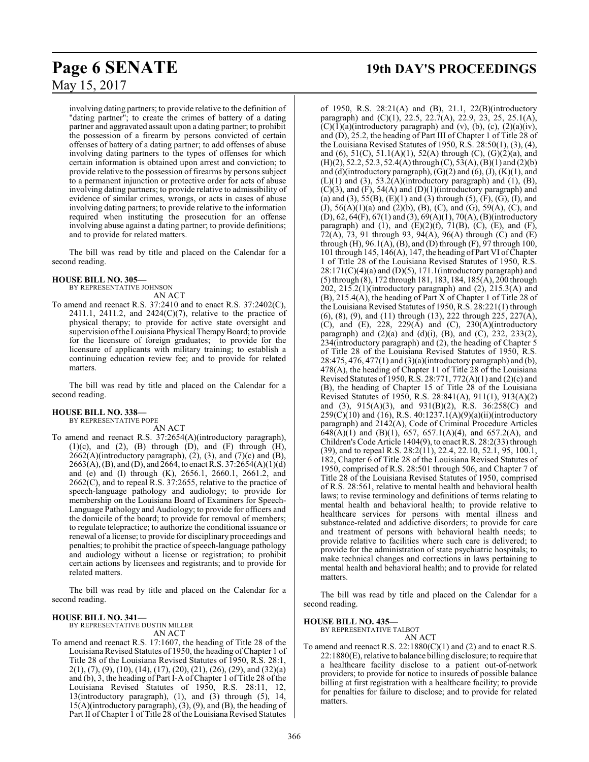involving dating partners; to provide relative to the definition of "dating partner"; to create the crimes of battery of a dating partner and aggravated assault upon a dating partner; to prohibit the possession of a firearm by persons convicted of certain offenses of battery of a dating partner; to add offenses of abuse involving dating partners to the types of offenses for which certain information is obtained upon arrest and conviction; to provide relative to the possession of firearms by persons subject to a permanent injunction or protective order for acts of abuse involving dating partners; to provide relative to admissibility of evidence of similar crimes, wrongs, or acts in cases of abuse involving dating partners; to provide relative to the information required when instituting the prosecution for an offense involving abuse against a dating partner; to provide definitions; and to provide for related matters.

The bill was read by title and placed on the Calendar for a second reading.

#### **HOUSE BILL NO. 305—**

BY REPRESENTATIVE JOHNSON AN ACT

To amend and reenact R.S. 37:2410 and to enact R.S. 37:2402(C), 2411.1, 2411.2, and 2424(C)(7), relative to the practice of physical therapy; to provide for active state oversight and supervision of the Louisiana Physical Therapy Board; to provide for the licensure of foreign graduates; to provide for the licensure of applicants with military training; to establish a continuing education review fee; and to provide for related matters.

The bill was read by title and placed on the Calendar for a second reading.

#### **HOUSE BILL NO. 338—** BY REPRESENTATIVE POPE

AN ACT

To amend and reenact R.S. 37:2654(A)(introductory paragraph),  $(1)(c)$ , and  $(2)$ ,  $(B)$  through  $(D)$ , and  $(F)$  through  $(H)$ ,  $2662(A)$ (introductory paragraph),  $(2)$ ,  $(3)$ , and  $(7)(c)$  and  $(B)$ , 2663(A), (B), and (D), and 2664, to enact R.S. 37:2654(A)(1)(d) and (e) and (I) through (K), 2656.1, 2660.1, 2661.2, and  $2662(C)$ , and to repeal R.S. 37:2655, relative to the practice of speech-language pathology and audiology; to provide for membership on the Louisiana Board of Examiners for Speech-Language Pathology and Audiology; to provide for officers and the domicile of the board; to provide for removal of members; to regulate telepractice; to authorize the conditional issuance or renewal of a license; to provide for disciplinary proceedings and penalties; to prohibit the practice of speech-language pathology and audiology without a license or registration; to prohibit certain actions by licensees and registrants; and to provide for related matters.

The bill was read by title and placed on the Calendar for a second reading.

## **HOUSE BILL NO. 341—**

BY REPRESENTATIVE DUSTIN MILLER AN ACT

To amend and reenact R.S. 17:1607, the heading of Title 28 of the Louisiana Revised Statutes of 1950, the heading of Chapter 1 of Title 28 of the Louisiana Revised Statutes of 1950, R.S. 28:1,  $2(1)$ ,  $(7)$ ,  $(9)$ ,  $(10)$ ,  $(14)$ ,  $(17)$ ,  $(20)$ ,  $(21)$ ,  $(26)$ ,  $(29)$ , and  $(32)(a)$ and (b), 3, the heading of Part I-A of Chapter 1 of Title 28 of the Louisiana Revised Statutes of 1950, R.S. 28:11, 12, 13(introductory paragraph), (1), and (3) through (5), 14, 15(A)(introductory paragraph), (3), (9), and (B), the heading of Part II of Chapter 1 of Title 28 of the Louisiana Revised Statutes

## **Page 6 SENATE 19th DAY'S PROCEEDINGS**

of 1950, R.S. 28:21(A) and (B), 21.1, 22(B)(introductory paragraph) and  $(C)(1)$ , 22.5, 22.7(A), 22.9, 23, 25, 25.1(A),  $(C)(1)(a)$ (introductory paragraph) and (v), (b), (c),  $(2)(a)(iv)$ , and (D), 25.2, the heading of Part III of Chapter 1 of Title 28 of the Louisiana Revised Statutes of 1950, R.S. 28:50(1), (3), (4), and (6),  $51(C)$ ,  $51.1(A)(1)$ ,  $52(A)$  through (C),  $(G)(2)(a)$ , and  $(H)(2)$ , 52.2, 52.3, 52.4(A) through  $(C)$ , 53(A),  $(B)(1)$  and  $(2)(b)$ and (d)(introductory paragraph),  $(G)(2)$  and  $(6)$ ,  $(J)$ ,  $(K)(1)$ , and  $(L)(1)$  and  $(3)$ , 53.2 $(A)$ (introductory paragraph) and  $(1)$ ,  $(B)$ ,  $(C)(3)$ , and  $(F)$ , 54 $(A)$  and  $(D)(1)$ (introductory paragraph) and (a) and (3), 55(B), (E)(1) and (3) through (5), (F), (G), (I), and (J), 56(A)(1)(a) and (2)(b), (B), (C), and (G), 59(A), (C), and  $(D)$ , 62, 64(F), 67(1) and (3), 69(A)(1), 70(A), (B)(introductory paragraph) and (1), and (E)(2)(f), 71(B), (C), (E), and (F), 72(A), 73, 91 through 93, 94(A), 96(A) through (C) and (E) through  $(H)$ ,  $96.1(A)$ ,  $(B)$ , and  $(D)$  through  $(F)$ ,  $97$  through  $100$ , 101 through 145, 146(A), 147, the heading of Part VI ofChapter 1 of Title 28 of the Louisiana Revised Statutes of 1950, R.S.  $28:171(C)(4)(a)$  and  $(D)(5)$ , 171.1(introductory paragraph) and (5) through (8), 172 through 181, 183, 184, 185(A), 200 through 202, 215.2(1)(introductory paragraph) and (2), 215.3(A) and (B), 215.4(A), the heading of Part X of Chapter 1 of Title 28 of the Louisiana Revised Statutes of 1950, R.S. 28:221(1) through (6), (8), (9), and (11) through (13), 222 through 225, 227(A), (C), and (E), 228, 229(A) and (C), 230(A)(introductory paragraph) and  $(2)(a)$  and  $(d)(i)$ ,  $(B)$ , and  $(C)$ , 232, 233 $(2)$ , 234(introductory paragraph) and (2), the heading of Chapter 5 of Title 28 of the Louisiana Revised Statutes of 1950, R.S. 28:475, 476, 477(1) and (3)(a)(introductory paragraph) and (b), 478(A), the heading of Chapter 11 of Title 28 of the Louisiana Revised Statutes of 1950, R.S. 28:771, 772(A)(1) and (2)(c) and (B), the heading of Chapter 15 of Title 28 of the Louisiana Revised Statutes of 1950, R.S. 28:841(A), 911(1), 913(A)(2) and (3), 915(A)(3), and 931(B)(2), R.S. 36:258(C) and 259(C)(10) and (16), R.S. 40:1237.1(A)(9)(a)(ii)(introductory paragraph) and 2142(A), Code of Criminal Procedure Articles 648(A)(1) and (B)(1), 657, 657.1(A)(4), and 657.2(A), and Children's Code Article 1404(9), to enact R.S. 28:2(33) through (39), and to repeal R.S. 28:2(11), 22.4, 22.10, 52.1, 95, 100.1, 182, Chapter 6 of Title 28 of the Louisiana Revised Statutes of 1950, comprised of R.S. 28:501 through 506, and Chapter 7 of Title 28 of the Louisiana Revised Statutes of 1950, comprised of R.S. 28:561, relative to mental health and behavioral health laws; to revise terminology and definitions of terms relating to mental health and behavioral health; to provide relative to healthcare services for persons with mental illness and substance-related and addictive disorders; to provide for care and treatment of persons with behavioral health needs; to provide relative to facilities where such care is delivered; to provide for the administration of state psychiatric hospitals; to make technical changes and corrections in laws pertaining to mental health and behavioral health; and to provide for related matters.

The bill was read by title and placed on the Calendar for a second reading.

#### **HOUSE BILL NO. 435—**

BY REPRESENTATIVE TALBOT

AN ACT

To amend and reenact R.S.  $22:1880(C)(1)$  and (2) and to enact R.S. 22:1880(E), relative to balance billing disclosure; to require that a healthcare facility disclose to a patient out-of-network providers; to provide for notice to insureds of possible balance billing at first registration with a healthcare facility; to provide for penalties for failure to disclose; and to provide for related matters.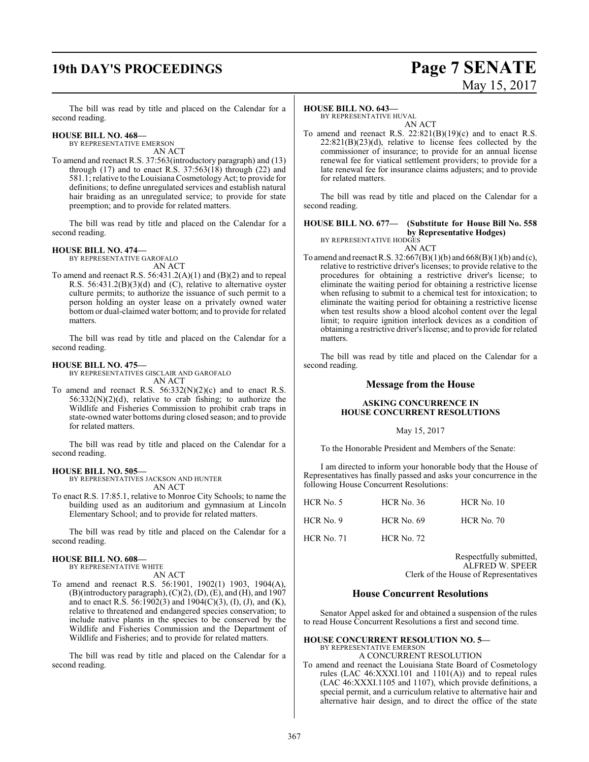# **19th DAY'S PROCEEDINGS Page 7 SENATE**

# May 15, 2017

The bill was read by title and placed on the Calendar for a second reading.

#### **HOUSE BILL NO. 468—** BY REPRESENTATIVE EMERSON

AN ACT

To amend and reenact R.S. 37:563(introductory paragraph) and (13) through  $(17)$  and to enact R.S. 37:563 $(18)$  through  $(22)$  and 581.1; relative to the Louisiana Cosmetology Act; to provide for definitions; to define unregulated services and establish natural hair braiding as an unregulated service; to provide for state preemption; and to provide for related matters.

The bill was read by title and placed on the Calendar for a second reading.

#### **HOUSE BILL NO. 474—**

BY REPRESENTATIVE GAROFALO AN ACT

To amend and reenact R.S. 56:431.2(A)(1) and (B)(2) and to repeal R.S. 56:431.2(B)(3)(d) and (C), relative to alternative oyster culture permits; to authorize the issuance of such permit to a person holding an oyster lease on a privately owned water bottom or dual-claimed water bottom; and to provide for related matters.

The bill was read by title and placed on the Calendar for a second reading.

#### **HOUSE BILL NO. 475—**

BY REPRESENTATIVES GISCLAIR AND GAROFALO AN ACT

To amend and reenact R.S.  $56:332(N)(2)(c)$  and to enact R.S.  $56:332(N)(2)(d)$ , relative to crab fishing; to authorize the Wildlife and Fisheries Commission to prohibit crab traps in state-owned water bottoms during closed season; and to provide for related matters.

The bill was read by title and placed on the Calendar for a second reading.

#### **HOUSE BILL NO. 505—**

BY REPRESENTATIVES JACKSON AND HUNTER AN ACT

To enact R.S. 17:85.1, relative to Monroe City Schools; to name the building used as an auditorium and gymnasium at Lincoln Elementary School; and to provide for related matters.

The bill was read by title and placed on the Calendar for a second reading.

#### **HOUSE BILL NO. 608—**

BY REPRESENTATIVE WHITE

- AN ACT
- To amend and reenact R.S. 56:1901, 1902(1) 1903, 1904(A), (B)(introductory paragraph), (C)(2), (D), (E), and (H), and 1907 and to enact R.S. 56:1902(3) and 1904(C)(3), (I), (J), and (K), relative to threatened and endangered species conservation; to include native plants in the species to be conserved by the Wildlife and Fisheries Commission and the Department of Wildlife and Fisheries; and to provide for related matters.

The bill was read by title and placed on the Calendar for a second reading.

#### **HOUSE BILL NO. 643—**

BY REPRESENTATIVE HUVAL AN ACT

To amend and reenact R.S. 22:821(B)(19)(c) and to enact R.S.  $22:821(B)(23)(d)$ , relative to license fees collected by the commissioner of insurance; to provide for an annual license renewal fee for viatical settlement providers; to provide for a late renewal fee for insurance claims adjusters; and to provide for related matters.

The bill was read by title and placed on the Calendar for a second reading.

#### **HOUSE BILL NO. 677— (Substitute for House Bill No. 558 by Representative Hodges)** BY REPRESENTATIVE HODGES

AN ACT

To amend and reenact R.S. 32:667(B)(1)(b) and 668(B)(1)(b) and (c), relative to restrictive driver's licenses; to provide relative to the procedures for obtaining a restrictive driver's license; to eliminate the waiting period for obtaining a restrictive license when refusing to submit to a chemical test for intoxication; to eliminate the waiting period for obtaining a restrictive license when test results show a blood alcohol content over the legal limit; to require ignition interlock devices as a condition of obtaining a restrictive driver'slicense; and to provide for related matters.

The bill was read by title and placed on the Calendar for a second reading.

#### **Message from the House**

#### **ASKING CONCURRENCE IN HOUSE CONCURRENT RESOLUTIONS**

May 15, 2017

To the Honorable President and Members of the Senate:

I am directed to inform your honorable body that the House of Representatives has finally passed and asks your concurrence in the following House Concurrent Resolutions:

| HCR No. 5         | $HCR$ No. 36      | $HCR$ No. 10      |
|-------------------|-------------------|-------------------|
| $HCR$ No. 9       | <b>HCR</b> No. 69 | <b>HCR No. 70</b> |
| <b>HCR No. 71</b> | <b>HCR No. 72</b> |                   |

Respectfully submitted, ALFRED W. SPEER Clerk of the House of Representatives

#### **House Concurrent Resolutions**

Senator Appel asked for and obtained a suspension of the rules to read House Concurrent Resolutions a first and second time.

#### **HOUSE CONCURRENT RESOLUTION NO. 5—** BY REPRESENTATIVE EMERSON

A CONCURRENT RESOLUTION

To amend and reenact the Louisiana State Board of Cosmetology rules (LAC 46:XXXI.101 and 1101(A)) and to repeal rules (LAC 46:XXXI.1105 and 1107), which provide definitions, a special permit, and a curriculum relative to alternative hair and alternative hair design, and to direct the office of the state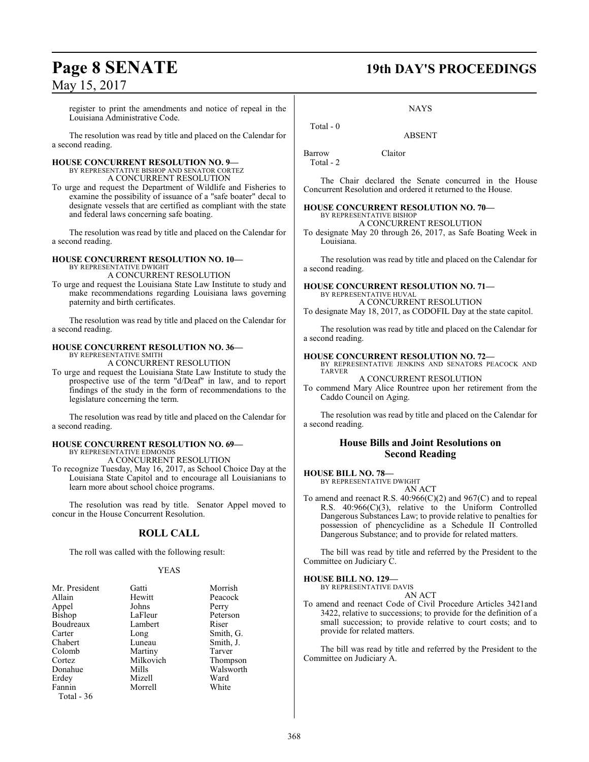register to print the amendments and notice of repeal in the Louisiana Administrative Code.

The resolution was read by title and placed on the Calendar for a second reading.

#### **HOUSE CONCURRENT RESOLUTION NO. 9—**

BY REPRESENTATIVE BISHOP AND SENATOR CORTEZ A CONCURRENT RESOLUTION

To urge and request the Department of Wildlife and Fisheries to examine the possibility of issuance of a "safe boater" decal to designate vessels that are certified as compliant with the state and federal laws concerning safe boating.

The resolution was read by title and placed on the Calendar for a second reading.

#### **HOUSE CONCURRENT RESOLUTION NO. 10—** BY REPRESENTATIVE DWIGHT

A CONCURRENT RESOLUTION

To urge and request the Louisiana State Law Institute to study and make recommendations regarding Louisiana laws governing paternity and birth certificates.

The resolution was read by title and placed on the Calendar for a second reading.

#### **HOUSE CONCURRENT RESOLUTION NO. 36—**

BY REPRESENTATIVE SMITH A CONCURRENT RESOLUTION

To urge and request the Louisiana State Law Institute to study the prospective use of the term "d/Deaf" in law, and to report findings of the study in the form of recommendations to the legislature concerning the term.

The resolution was read by title and placed on the Calendar for a second reading.

#### **HOUSE CONCURRENT RESOLUTION NO. 69—** BY REPRESENTATIVE EDMONDS

A CONCURRENT RESOLUTION

To recognize Tuesday, May 16, 2017, as School Choice Day at the Louisiana State Capitol and to encourage all Louisianians to learn more about school choice programs.

The resolution was read by title. Senator Appel moved to concur in the House Concurrent Resolution.

## **ROLL CALL**

The roll was called with the following result:

#### YEAS

| Mr. President | Gatti     | Morrish   |
|---------------|-----------|-----------|
| Allain        | Hewitt    | Peacock   |
| Appel         | Johns     | Perry     |
| Bishop        | LaFleur   | Peterson  |
| Boudreaux     | Lambert   | Riser     |
| Carter        | Long      | Smith, G. |
| Chabert       | Luneau    | Smith, J. |
| Colomb        | Martiny   | Tarver    |
| Cortez        | Milkovich | Thompson  |
| Donahue       | Mills     | Walsworth |
| Erdey         | Mizell    | Ward      |
| Fannin        | Morrell   | White     |
| Total - 36    |           |           |

## **Page 8 SENATE 19th DAY'S PROCEEDINGS**

**NAYS** 

ABSENT

Barrow Claitor Total - 2

Total - 0

The Chair declared the Senate concurred in the House Concurrent Resolution and ordered it returned to the House.

**HOUSE CONCURRENT RESOLUTION NO. 70—** BY REPRESENTATIVE BISHOP

A CONCURRENT RESOLUTION

To designate May 20 through 26, 2017, as Safe Boating Week in Louisiana.

The resolution was read by title and placed on the Calendar for a second reading.

**HOUSE CONCURRENT RESOLUTION NO. 71—** BY REPRESENTATIVE HUVAL

A CONCURRENT RESOLUTION

To designate May 18, 2017, as CODOFIL Day at the state capitol.

The resolution was read by title and placed on the Calendar for a second reading.

#### **HOUSE CONCURRENT RESOLUTION NO. 72—**

BY REPRESENTATIVE JENKINS AND SENATORS PEACOCK AND TARVER

A CONCURRENT RESOLUTION

To commend Mary Alice Rountree upon her retirement from the Caddo Council on Aging.

The resolution was read by title and placed on the Calendar for a second reading.

#### **House Bills and Joint Resolutions on Second Reading**

#### **HOUSE BILL NO. 78—**

BY REPRESENTATIVE DWIGHT AN ACT

To amend and reenact R.S.  $40:966(C)(2)$  and  $967(C)$  and to repeal R.S. 40:966(C)(3), relative to the Uniform Controlled Dangerous Substances Law; to provide relative to penalties for possession of phencyclidine as a Schedule II Controlled Dangerous Substance; and to provide for related matters.

The bill was read by title and referred by the President to the Committee on Judiciary C.

#### **HOUSE BILL NO. 129—**

BY REPRESENTATIVE DAVIS AN ACT

To amend and reenact Code of Civil Procedure Articles 3421and 3422, relative to successions; to provide for the definition of a small succession; to provide relative to court costs; and to provide for related matters.

The bill was read by title and referred by the President to the Committee on Judiciary A.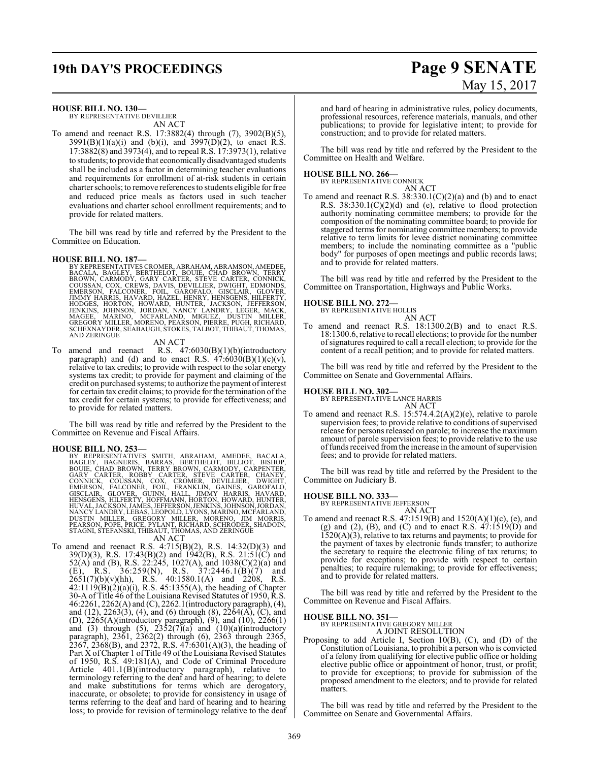# **19th DAY'S PROCEEDINGS Page 9 SENATE**

# May 15, 2017

**HOUSE BILL NO. 130—**

BY REPRESENTATIVE DEVILLIER AN ACT

To amend and reenact R.S. 17:3882(4) through (7), 3902(B)(5),  $3991(B)(1)(a)(i)$  and (b)(i), and  $3997(D)(2)$ , to enact R.S. 17:3882(8) and 3973(4), and to repeal R.S. 17:3973(1), relative to students; to provide that economicallydisadvantaged students shall be included as a factor in determining teacher evaluations and requirements for enrollment of at-risk students in certain charter schools; to remove references to students eligible forfree and reduced price meals as factors used in such teacher evaluations and charter school enrollment requirements; and to provide for related matters.

The bill was read by title and referred by the President to the Committee on Education.

#### **HOUSE BILL NO. 187—**

BY REPRESENTATIVES CROMER, ABRAHAM, ABRAMSON, AMEDEE,<br>BACALA, BAGLEY, BERTHELOT, BOUIE, CHAD BROWN, TERRY<br>BROWN, CARMODY, GARY CARTER, STEVE CARTER, CONNICK,<br>COUSSAN, COX, CREWS, DAVIS, DEVILLIER, DWIGHT, EDMONDS,<br>EMERSON, SCHEXNAYDER, SEABAUGH, STOKES, TALBOT, THIBAUT, THOMAS, AND ZERINGUE

AN ACT

To amend and reenact R.S. 47:6030(B)(1)(b)(introductory paragraph) and (d) and to enact R.S.  $47:6030(B)(1)(c)(v)$ , relative to tax credits; to provide with respect to the solar energy systems tax credit; to provide for payment and claiming of the credit on purchased systems; to authorize the payment of interest for certain tax credit claims; to provide for the termination ofthe tax credit for certain systems; to provide for effectiveness; and to provide for related matters.

The bill was read by title and referred by the President to the Committee on Revenue and Fiscal Affairs.

#### **HOUSE BILL NO. 253—**

BY REPRESENTATIVES SMITH, ABRAHAM, AMEDEE, BACALA,<br>BAGLEY, BAGNERIS, BARRAS, BERTHELOT, BILLIOT, BISHOP,<br>BOUIE, CHAD BROWN, TERRY BROWN, CARMODY, CARPENTER,<br>GARY CARTER, ROBBY CARTER, STEVE CARTER, CHANEY,<br>CONNICK, COUSSAN NANCY LANDRY, LEBAS, LEOPOLD, LYONS, MARINO, MCFARLAND,<br>DUSTIN - MILLER, - GREGORY - MILLER, - MORENO, - JIM - MORRIS,<br>PEARSON, POPE, PRICE, PYLANT, RICHARD, SCHRODER, SHADOIN,<br>STAGNI, STEFANSKI, THIBAUT, THOMAS, AND ZERIN

AN ACT

To amend and reenact R.S. 4:715(B)(2), R.S. 14:32(D)(3) and 39(D)(3), R.S. 17:43(B)(2) and 1942(B), R.S. 21:51(C) and 52(A) and (B), R.S. 22:245, 1027(A), and 1038(C)(2)(a) and (E), R.S. 36:259(N), R.S. 37:2446.1(B)(7) and  $2651(7)(b)(v)(hh)$ , R.S.  $40:1580.1(A)$  and  $2208$ , R.S. 42:1119(B)(2)(a)(i), R.S. 45:1355(A), the heading of Chapter 30-A of Title 46 of the Louisiana Revised Statutes of 1950, R.S. 46:2261, 2262(A) and (C), 2262.1(introductory paragraph), (4), and (12), 2263(3), (4), and (6) through (8), 2264(A), (C), and (D), 2265(A)(introductory paragraph), (9), and (10), 2266(1) and (3) through (5),  $2352(7)(a)$  and  $(10)(a)$ (introductory paragraph), 2361, 2362(2) through (6), 2363 through 2365, 2367, 2368(B), and 2372, R.S.  $47:6301(A)(3)$ , the heading of Part X of Chapter 1 of Title 49 of the Louisiana Revised Statutes of 1950, R.S. 49:181(A), and Code of Criminal Procedure Article 401.1(B)(introductory paragraph), relative to terminology referring to the deaf and hard of hearing; to delete and make substitutions for terms which are derogatory, inaccurate, or obsolete; to provide for consistency in usage of terms referring to the deaf and hard of hearing and to hearing loss; to provide for revision of terminology relative to the deaf

and hard of hearing in administrative rules, policy documents, professional resources, reference materials, manuals, and other publications; to provide for legislative intent; to provide for construction; and to provide for related matters.

The bill was read by title and referred by the President to the Committee on Health and Welfare.

**HOUSE BILL NO. 266—** BY REPRESENTATIVE CONNICK AN ACT

To amend and reenact R.S. 38:330.1(C)(2)(a) and (b) and to enact R.S. 38:330.1(C)(2)(d) and (e), relative to flood protection authority nominating committee members; to provide for the composition of the nominating committee board; to provide for staggered terms for nominating committee members; to provide relative to term limits for levee district nominating committee members; to include the nominating committee as a "public body" for purposes of open meetings and public records laws; and to provide for related matters.

The bill was read by title and referred by the President to the Committee on Transportation, Highways and Public Works.

#### **HOUSE BILL NO. 272—**

BY REPRESENTATIVE HOLLIS AN ACT

To amend and reenact R.S. 18:1300.2(B) and to enact R.S. 18:1300.6, relative to recall elections; to provide for the number ofsignatures required to call a recall election; to provide for the content of a recall petition; and to provide for related matters.

The bill was read by title and referred by the President to the Committee on Senate and Governmental Affairs.

**HOUSE BILL NO. 302—** BY REPRESENTATIVE LANCE HARRIS AN ACT

To amend and reenact R.S. 15:574.4.2(A)(2)(e), relative to parole supervision fees; to provide relative to conditions of supervised release for persons released on parole; to increase the maximum amount of parole supervision fees; to provide relative to the use of funds received from the increase in the amount of supervision fees; and to provide for related matters.

The bill was read by title and referred by the President to the Committee on Judiciary B.

**HOUSE BILL NO. 333—** BY REPRESENTATIVE JEFFERSON

- AN ACT
- To amend and reenact R.S. 47:1519(B) and 1520(A)(1)(c), (e), and (g) and (2), (B), and (C) and to enact R.S.  $47:1519(D)$  and 1520(A)(3), relative to tax returns and payments; to provide for the payment of taxes by electronic funds transfer; to authorize the secretary to require the electronic filing of tax returns; to provide for exceptions; to provide with respect to certain penalties; to require rulemaking; to provide for effectiveness; and to provide for related matters.

The bill was read by title and referred by the President to the Committee on Revenue and Fiscal Affairs.

#### **HOUSE BILL NO. 351—**

BY REPRESENTATIVE GREGORY MILLER A JOINT RESOLUTION

Proposing to add Article I, Section 10(B), (C), and (D) of the Constitution ofLouisiana, to prohibit a person who is convicted of a felony from qualifying for elective public office or holding elective public office or appointment of honor, trust, or profit; to provide for exceptions; to provide for submission of the proposed amendment to the electors; and to provide for related matters.

The bill was read by title and referred by the President to the Committee on Senate and Governmental Affairs.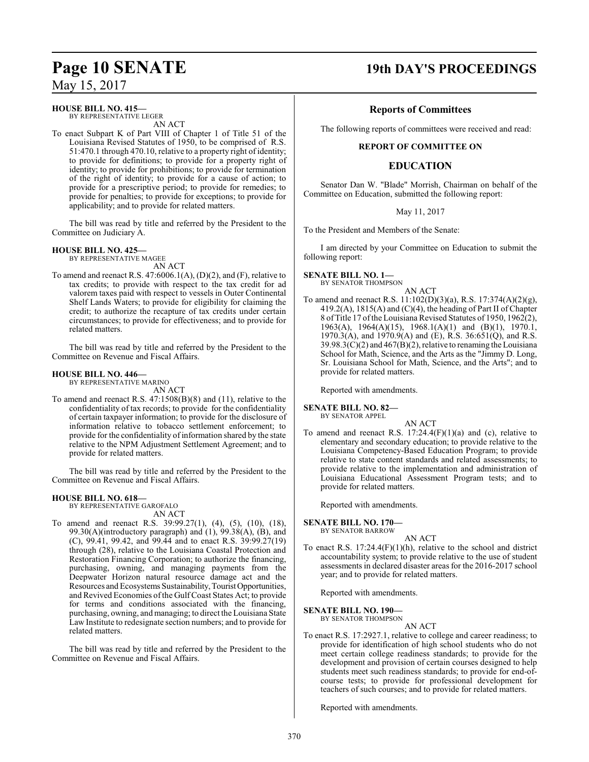### **HOUSE BILL NO. 415—**

BY REPRESENTATIVE LEGER AN ACT

To enact Subpart K of Part VIII of Chapter 1 of Title 51 of the Louisiana Revised Statutes of 1950, to be comprised of R.S. 51:470.1 through 470.10, relative to a property right of identity; to provide for definitions; to provide for a property right of identity; to provide for prohibitions; to provide for termination of the right of identity; to provide for a cause of action; to provide for a prescriptive period; to provide for remedies; to provide for penalties; to provide for exceptions; to provide for applicability; and to provide for related matters.

The bill was read by title and referred by the President to the Committee on Judiciary A.

#### **HOUSE BILL NO. 425—**

BY REPRESENTATIVE MAGEE AN ACT

To amend and reenact R.S. 47:6006.1(A), (D)(2), and (F), relative to tax credits; to provide with respect to the tax credit for ad valorem taxes paid with respect to vessels in Outer Continental Shelf Lands Waters; to provide for eligibility for claiming the credit; to authorize the recapture of tax credits under certain circumstances; to provide for effectiveness; and to provide for related matters.

The bill was read by title and referred by the President to the Committee on Revenue and Fiscal Affairs.

#### **HOUSE BILL NO. 446—**

BY REPRESENTATIVE MARINO AN ACT

To amend and reenact R.S. 47:1508(B)(8) and (11), relative to the confidentiality of tax records; to provide for the confidentiality of certain taxpayer information; to provide for the disclosure of information relative to tobacco settlement enforcement; to provide for the confidentiality of information shared by the state relative to the NPM Adjustment Settlement Agreement; and to provide for related matters.

The bill was read by title and referred by the President to the Committee on Revenue and Fiscal Affairs.

#### **HOUSE BILL NO. 618—**

BY REPRESENTATIVE GAROFALO AN ACT

To amend and reenact R.S. 39:99.27(1), (4), (5), (10), (18), 99.30(A)(introductory paragraph) and  $(1)$ , 99.38(A),  $(B)$ , and (C), 99.41, 99.42, and 99.44 and to enact R.S. 39:99.27(19) through (28), relative to the Louisiana Coastal Protection and Restoration Financing Corporation; to authorize the financing, purchasing, owning, and managing payments from the Deepwater Horizon natural resource damage act and the Resources and Ecosystems Sustainability,TouristOpportunities, and Revived Economies of the Gulf Coast States Act; to provide for terms and conditions associated with the financing, purchasing, owning, and managing; to direct the Louisiana State Law Institute to redesignate section numbers; and to provide for related matters.

The bill was read by title and referred by the President to the Committee on Revenue and Fiscal Affairs.

## **Page 10 SENATE 19th DAY'S PROCEEDINGS**

### **Reports of Committees**

The following reports of committees were received and read:

#### **REPORT OF COMMITTEE ON**

### **EDUCATION**

Senator Dan W. "Blade" Morrish, Chairman on behalf of the Committee on Education, submitted the following report:

#### May 11, 2017

To the President and Members of the Senate:

I am directed by your Committee on Education to submit the following report:

#### **SENATE BILL NO. 1—**

BY SENATOR THOMPSON

#### AN ACT

To amend and reenact R.S. 11:102(D)(3)(a), R.S. 17:374(A)(2)(g),  $419.2(A)$ ,  $1815(A)$  and  $(C)(4)$ , the heading of Part II of Chapter 8 ofTitle 17 ofthe Louisiana Revised Statutes of 1950, 1962(2), 1963(A), 1964(A)(15), 1968.1(A)(1) and (B)(1), 1970.1, 1970.3(A), and  $1970.9(A)$  and (E), R.S. 36:651(Q), and R.S.  $39.98.3(C)(2)$  and  $467(B)(2)$ , relative to renaming the Louisiana School for Math, Science, and the Arts as the "Jimmy D. Long, Sr. Louisiana School for Math, Science, and the Arts"; and to provide for related matters.

Reported with amendments.

#### **SENATE BILL NO. 82—**

BY SENATOR APPEL AN ACT

To amend and reenact R.S.  $17:24.4(F)(1)(a)$  and (c), relative to elementary and secondary education; to provide relative to the Louisiana Competency-Based Education Program; to provide relative to state content standards and related assessments; to provide relative to the implementation and administration of Louisiana Educational Assessment Program tests; and to provide for related matters.

Reported with amendments.

#### **SENATE BILL NO. 170—**

BY SENATOR BARROW

#### AN ACT

To enact R.S. 17:24.4(F)(1)(h), relative to the school and district accountability system; to provide relative to the use of student assessments in declared disaster areas for the 2016-2017 school year; and to provide for related matters.

Reported with amendments.

#### **SENATE BILL NO. 190—**

BY SENATOR THOMPSON

AN ACT To enact R.S. 17:2927.1, relative to college and career readiness; to provide for identification of high school students who do not meet certain college readiness standards; to provide for the development and provision of certain courses designed to help students meet such readiness standards; to provide for end-ofcourse tests; to provide for professional development for teachers of such courses; and to provide for related matters.

Reported with amendments.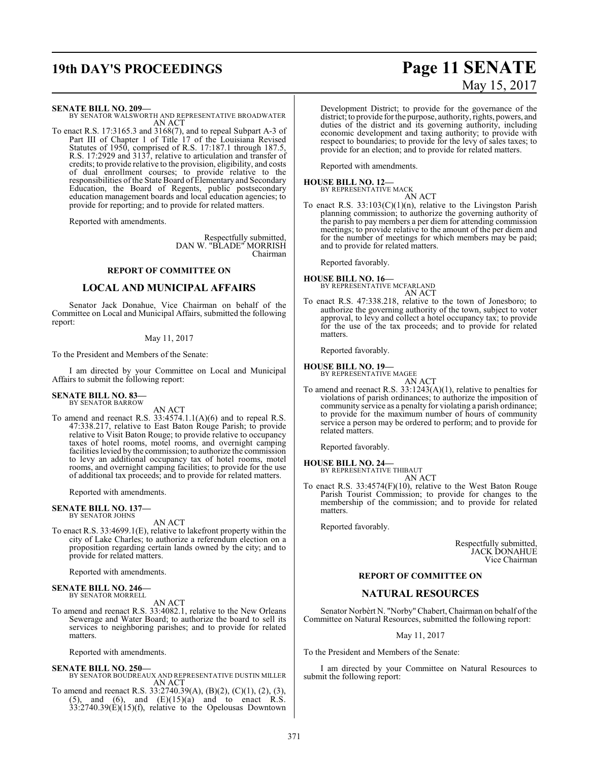## **19th DAY'S PROCEEDINGS Page 11 SENATE**

# May 15, 2017

#### **SENATE BILL NO. 209—**

BY SENATOR WALSWORTH AND REPRESENTATIVE BROADWATER AN ACT

To enact R.S. 17:3165.3 and 3168(7), and to repeal Subpart A-3 of Part III of Chapter 1 of Title 17 of the Louisiana Revised Statutes of 1950, comprised of R.S. 17:187.1 through 187.5, R.S. 17:2929 and 3137, relative to articulation and transfer of credits; to provide relative to the provision, eligibility, and costs of dual enrollment courses; to provide relative to the responsibilities of the State Board of Elementary and Secondary Education, the Board of Regents, public postsecondary education management boards and local education agencies; to provide for reporting; and to provide for related matters.

Reported with amendments.

Respectfully submitted, DAN W. "BLADE" MORRISH Chairman

#### **REPORT OF COMMITTEE ON**

#### **LOCAL AND MUNICIPAL AFFAIRS**

Senator Jack Donahue, Vice Chairman on behalf of the Committee on Local and Municipal Affairs, submitted the following report:

#### May 11, 2017

To the President and Members of the Senate:

I am directed by your Committee on Local and Municipal Affairs to submit the following report:

#### **SENATE BILL NO. 83—** BY SENATOR BARROW

AN ACT

To amend and reenact R.S. 33:4574.1.1(A)(6) and to repeal R.S. 47:338.217, relative to East Baton Rouge Parish; to provide relative to Visit Baton Rouge; to provide relative to occupancy taxes of hotel rooms, motel rooms, and overnight camping facilities levied by the commission; to authorize the commission to levy an additional occupancy tax of hotel rooms, motel rooms, and overnight camping facilities; to provide for the use of additional tax proceeds; and to provide for related matters.

Reported with amendments.

#### **SENATE BILL NO. 137—** BY SENATOR JOHNS

AN ACT

To enact R.S. 33:4699.1(E), relative to lakefront property within the city of Lake Charles; to authorize a referendum election on a proposition regarding certain lands owned by the city; and to provide for related matters.

Reported with amendments.

#### **SENATE BILL NO. 246—** BY SENATOR MORRELL

AN ACT

To amend and reenact R.S. 33:4082.1, relative to the New Orleans Sewerage and Water Board; to authorize the board to sell its services to neighboring parishes; and to provide for related matters.

Reported with amendments.

#### **SENATE BILL NO. 250—**

- BY SENATOR BOUDREAUX AND REPRESENTATIVE DUSTIN MILLER AN ACT
- To amend and reenact R.S. 33:2740.39(A), (B)(2), (C)(1), (2), (3),  $(5)$ , and  $(6)$ , and  $(E)(15)(a)$  and to enact R.S. 33:2740.39(E)(15)(f), relative to the Opelousas Downtown

Development District; to provide for the governance of the district; to provide for the purpose, authority, rights, powers, and duties of the district and its governing authority, including economic development and taxing authority; to provide with respect to boundaries; to provide for the levy of sales taxes; to provide for an election; and to provide for related matters.

Reported with amendments.

#### **HOUSE BILL NO. 12—** BY REPRESENTATIVE MACK

- AN ACT
- To enact R.S.  $33:103(C)(1)(n)$ , relative to the Livingston Parish planning commission; to authorize the governing authority of the parish to pay members a per diem for attending commission meetings; to provide relative to the amount of the per diem and for the number of meetings for which members may be paid; and to provide for related matters.

Reported favorably.

## **HOUSE BILL NO. 16—** BY REPRESENTATIVE MCFARLAND

AN ACT

To enact R.S. 47:338.218, relative to the town of Jonesboro; to authorize the governing authority of the town, subject to voter approval, to levy and collect a hotel occupancy tax; to provide for the use of the tax proceeds; and to provide for related matters.

Reported favorably.

## **HOUSE BILL NO. 19—**

BY REPRESENTATIVE MAGEE

AN ACT

To amend and reenact R.S. 33:1243(A)(1), relative to penalties for violations of parish ordinances; to authorize the imposition of community service as a penalty for violating a parish ordinance; to provide for the maximum number of hours of community service a person may be ordered to perform; and to provide for related matters.

Reported favorably.

## **HOUSE BILL NO. 24—** BY REPRESENTATIVE THIBAUT

AN ACT

To enact R.S. 33:4574(F)(10), relative to the West Baton Rouge Parish Tourist Commission; to provide for changes to the membership of the commission; and to provide for related matters.

Reported favorably.

Respectfully submitted, JACK DONAHUE Vice Chairman

#### **REPORT OF COMMITTEE ON**

#### **NATURAL RESOURCES**

Senator Norbèrt N. "Norby"Chabert, Chairman on behalf of the Committee on Natural Resources, submitted the following report:

May 11, 2017

To the President and Members of the Senate:

I am directed by your Committee on Natural Resources to submit the following report: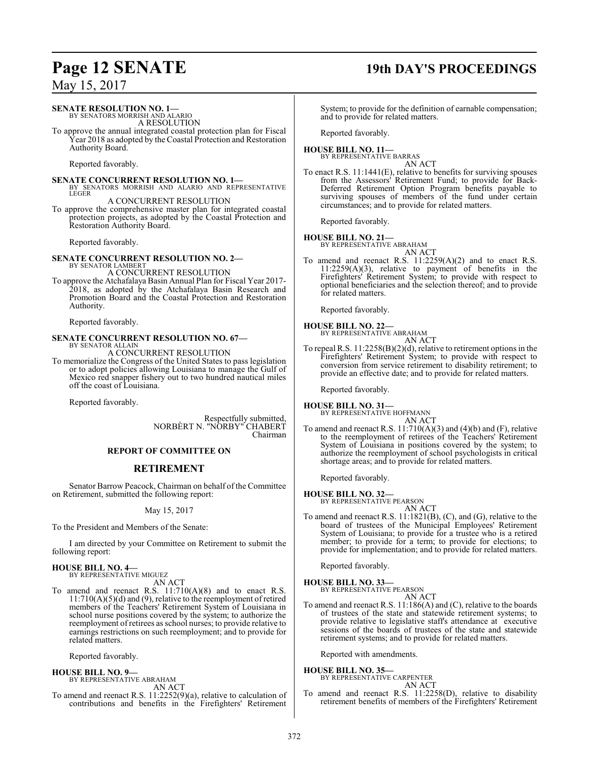## **Page 12 SENATE 19th DAY'S PROCEEDINGS**

## **SENATE RESOLUTION NO. 1—** BY SENATORS MORRISH AND ALARIO A RESOLUTION

To approve the annual integrated coastal protection plan for Fiscal Year 2018 as adopted by the Coastal Protection and Restoration Authority Board.

Reported favorably.

**SENATE CONCURRENT RESOLUTION NO. 1—**<br>BY SENATORS MORRISH AND ALARIO AND REPRESENTATIVE<br>LEGER A CONCURRENT RESOLUTION

To approve the comprehensive master plan for integrated coastal protection projects, as adopted by the Coastal Protection and Restoration Authority Board.

Reported favorably.

**SENATE CONCURRENT RESOLUTION NO. 2—** BY SENATOR LAMBERT A CONCURRENT RESOLUTION

To approve the Atchafalaya Basin Annual Plan for Fiscal Year 2017- 2018, as adopted by the Atchafalaya Basin Research and Promotion Board and the Coastal Protection and Restoration Authority.

Reported favorably.

# **SENATE CONCURRENT RESOLUTION NO. 67—** BY SENATOR ALLAIN

A CONCURRENT RESOLUTION

To memorialize the Congress of the United States to pass legislation or to adopt policies allowing Louisiana to manage the Gulf of Mexico red snapper fishery out to two hundred nautical miles off the coast of Louisiana.

Reported favorably.

Respectfully submitted, NORBÈRT N. "NORBY" CHABERT Chairman

#### **REPORT OF COMMITTEE ON**

### **RETIREMENT**

Senator Barrow Peacock, Chairman on behalf of the Committee on Retirement, submitted the following report:

May 15, 2017

To the President and Members of the Senate:

I am directed by your Committee on Retirement to submit the following report:

#### **HOUSE BILL NO. 4—** BY REPRESENTATIVE MIGUEZ

AN ACT

To amend and reenact R.S. 11:710(A)(8) and to enact R.S.  $11:710(A)(5)(d)$  and (9), relative to the reemployment of retired members of the Teachers' Retirement System of Louisiana in school nurse positions covered by the system; to authorize the reemployment of retirees as school nurses; to provide relative to earnings restrictions on such reemployment; and to provide for related matters.

Reported favorably.

### **HOUSE BILL NO. 9—**

BY REPRESENTATIVE ABRAHAM AN ACT

To amend and reenact R.S. 11:2252(9)(a), relative to calculation of contributions and benefits in the Firefighters' Retirement

System; to provide for the definition of earnable compensation; and to provide for related matters.

Reported favorably.

#### **HOUSE BILL NO. 11—** BY REPRESENTATIVE BARRAS

AN ACT

To enact R.S. 11:1441(E), relative to benefits for surviving spouses from the Assessors' Retirement Fund; to provide for Back-Deferred Retirement Option Program benefits payable to surviving spouses of members of the fund under certain circumstances; and to provide for related matters.

Reported favorably.

## **HOUSE BILL NO. 21—**

BY REPRESENTATIVE ABRAHAM AN ACT

To amend and reenact R.S. 11:2259(A)(2) and to enact R.S.  $11:2259(A)(3)$ , relative to payment of benefits in the Firefighters' Retirement System; to provide with respect to optional beneficiaries and the selection thereof; and to provide for related matters.

Reported favorably.

## **HOUSE BILL NO. 22—** BY REPRESENTATIVE ABRAHAM

AN ACT

To repeal R.S. 11:2258(B)(2)(d), relative to retirement options in the Firefighters' Retirement System; to provide with respect to conversion from service retirement to disability retirement; to provide an effective date; and to provide for related matters.

Reported favorably.

## **HOUSE BILL NO. 31—**

BY REPRESENTATIVE HOFFMANN AN ACT

To amend and reenact R.S.  $11:710(A)(3)$  and  $(4)(b)$  and  $(F)$ , relative to the reemployment of retirees of the Teachers' Retirement System of Louisiana in positions covered by the system; to authorize the reemployment of school psychologists in critical shortage areas; and to provide for related matters.

Reported favorably.

## **HOUSE BILL NO. 32—**

BY REPRESENTATIVE PEARSON

- AN ACT
- To amend and reenact R.S. 11:1821(B), (C), and (G), relative to the board of trustees of the Municipal Employees' Retirement System of Louisiana; to provide for a trustee who is a retired member; to provide for a term; to provide for elections; to provide for implementation; and to provide for related matters.

Reported favorably.

### **HOUSE BILL NO. 33—**

BY REPRESENTATIVE PEARSON AN ACT

To amend and reenact R.S. 11:186(A) and (C), relative to the boards of trustees of the state and statewide retirement systems; to provide relative to legislative staff's attendance at executive sessions of the boards of trustees of the state and statewide retirement systems; and to provide for related matters.

Reported with amendments.

**HOUSE BILL NO. 35—** BY REPRESENTATIVE CARPENTER

## AN ACT

To amend and reenact R.S. 11:2258(D), relative to disability retirement benefits of members of the Firefighters' Retirement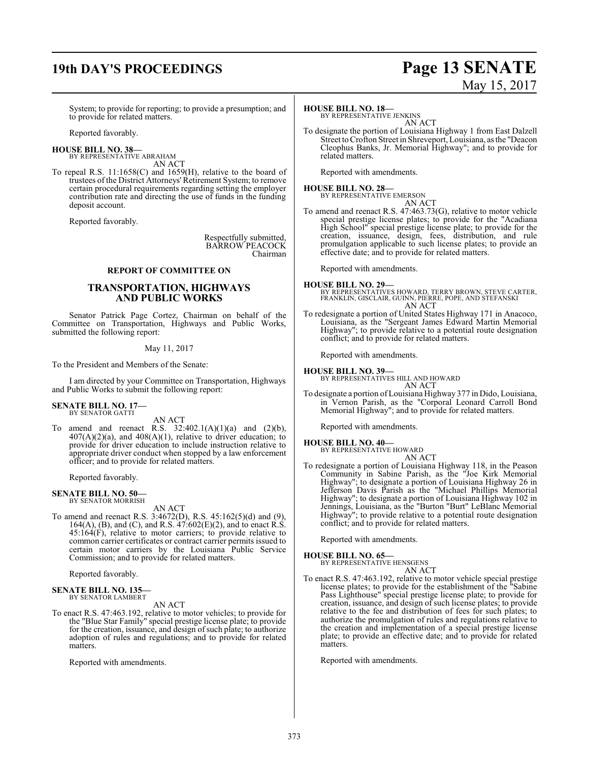## **19th DAY'S PROCEEDINGS Page 13 SENATE**

# May 15, 2017

System; to provide for reporting; to provide a presumption; and to provide for related matters.

Reported favorably.

#### **HOUSE BILL NO. 38—**

BY REPRESENTATIVE ABRAHAM AN ACT

To repeal R.S. 11:1658(C) and 1659(H), relative to the board of trustees of the District Attorneys' Retirement System; to remove certain procedural requirements regarding setting the employer contribution rate and directing the use of funds in the funding deposit account.

Reported favorably.

Respectfully submitted, BARROW PEACOCK Chairman

#### **REPORT OF COMMITTEE ON**

#### **TRANSPORTATION, HIGHWAYS AND PUBLIC WORKS**

Senator Patrick Page Cortez, Chairman on behalf of the Committee on Transportation, Highways and Public Works, submitted the following report:

#### May 11, 2017

To the President and Members of the Senate:

I am directed by your Committee on Transportation, Highways and Public Works to submit the following report:

#### **SENATE BILL NO. 17—** BY SENATOR GATTI

AN ACT

To amend and reenact R.S.  $32:402.1(A)(1)(a)$  and  $(2)(b)$ ,  $407(A)(2)(a)$ , and  $408(A)(1)$ , relative to driver education; to provide for driver education to include instruction relative to appropriate driver conduct when stopped by a law enforcement officer; and to provide for related matters.

Reported favorably.

#### **SENATE BILL NO. 50—** BY SENATOR MORRISH

AN ACT

To amend and reenact R.S. 3:4672(D), R.S. 45:162(5)(d) and (9), 164(A), (B), and (C), and R.S.  $47:602(E)(2)$ , and to enact R.S.  $45:164(F)$ , relative to motor carriers; to provide relative to common carrier certificates or contract carrier permits issued to certain motor carriers by the Louisiana Public Service Commission; and to provide for related matters.

Reported favorably.

## **SENATE BILL NO. 135—** BY SENATOR LAMBERT

AN ACT

To enact R.S. 47:463.192, relative to motor vehicles; to provide for the "Blue Star Family" special prestige license plate; to provide for the creation, issuance, and design of such plate; to authorize adoption of rules and regulations; and to provide for related matters.

Reported with amendments.

#### **HOUSE BILL NO. 18—**

BY REPRESENTATIVE JENKINS AN ACT

To designate the portion of Louisiana Highway 1 from East Dalzell Street to Crofton Street in Shreveport, Louisiana, as the "Deacon Cleophus Banks, Jr. Memorial Highway"; and to provide for related matters.

Reported with amendments.

#### **HOUSE BILL NO. 28—**

BY REPRESENTATIVE EMERSON AN ACT

To amend and reenact R.S. 47:463.73(G), relative to motor vehicle special prestige license plates; to provide for the "Acadiana High School" special prestige license plate; to provide for the creation, issuance, design, fees, distribution, and rule promulgation applicable to such license plates; to provide an effective date; and to provide for related matters.

Reported with amendments.

**HOUSE BILL NO. 29—** BY REPRESENTATIVES HOWARD, TERRY BROWN, STEVE CARTER, FRANKLIN, GISCLAIR, GUINN, PIERRE, POPE, AND STEFANSKI AN ACT

To redesignate a portion of United States Highway 171 in Anacoco, Louisiana, as the "Sergeant James Edward Martin Memorial Highway"; to provide relative to a potential route designation conflict; and to provide for related matters.

Reported with amendments.

#### **HOUSE BILL NO. 39—**

BY REPRESENTATIVES HILL AND HOWARD AN ACT

To designate a portion ofLouisiana Highway 377 in Dido, Louisiana, in Vernon Parish, as the "Corporal Leonard Carroll Bond Memorial Highway"; and to provide for related matters.

Reported with amendments.

## **HOUSE BILL NO. 40—** BY REPRESENTATIVE HOWARD

AN ACT

To redesignate a portion of Louisiana Highway 118, in the Peason Community in Sabine Parish, as the "Joe Kirk Memorial Highway"; to designate a portion of Louisiana Highway 26 in Jefferson Davis Parish as the "Michael Phillips Memorial Highway"; to designate a portion of Louisiana Highway 102 in Jennings, Louisiana, as the "Burton "Burt" LeBlanc Memorial Highway"; to provide relative to a potential route designation conflict; and to provide for related matters.

Reported with amendments.

#### **HOUSE BILL NO. 65—**

BY REPRESENTATIVE HENSGENS AN ACT

To enact R.S. 47:463.192, relative to motor vehicle special prestige license plates; to provide for the establishment of the "Sabine Pass Lighthouse" special prestige license plate; to provide for creation, issuance, and design of such license plates; to provide relative to the fee and distribution of fees for such plates; to authorize the promulgation of rules and regulations relative to the creation and implementation of a special prestige license plate; to provide an effective date; and to provide for related **matters** 

Reported with amendments.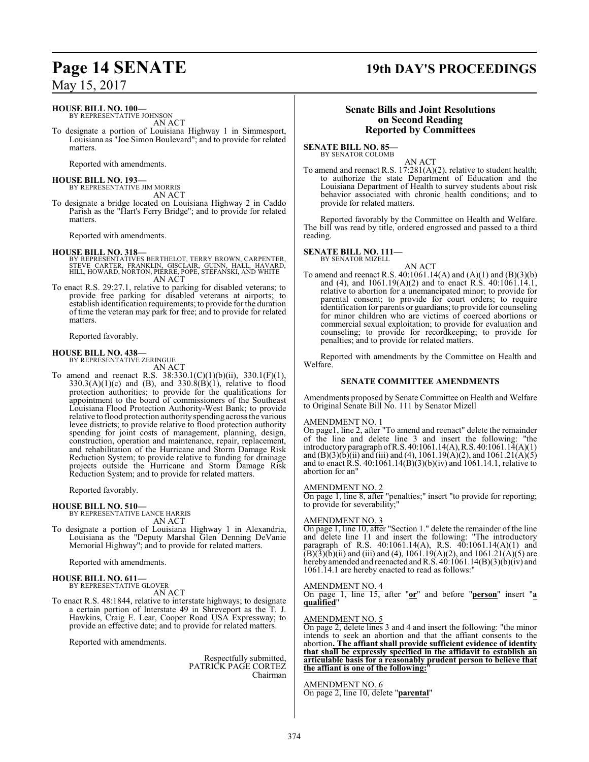#### **HOUSE BILL NO. 100—**

BY REPRESENTATIVE JOHNSON AN ACT

To designate a portion of Louisiana Highway 1 in Simmesport, Louisiana as "Joe Simon Boulevard"; and to provide for related matters.

Reported with amendments.

#### **HOUSE BILL NO. 193—**

BY REPRESENTATIVE JIM MORRIS AN ACT

To designate a bridge located on Louisiana Highway 2 in Caddo Parish as the "Hart's Ferry Bridge"; and to provide for related matters.

Reported with amendments.

#### **HOUSE BILL NO. 318—**

- BY REPRESENTATIVES BERTHELOT, TERRY BROWN, CARPENTER,<br>STEVE CARTER, FRANKLIN, GISCLAIR, GUINN, HALL, HAVARD,<br>HILL, HOWARD, NORTON, PIERRE, POPE, STEFANSKI, AND WHITE AN ACT
- To enact R.S. 29:27.1, relative to parking for disabled veterans; to provide free parking for disabled veterans at airports; to establish identification requirements; to provide for the duration of time the veteran may park for free; and to provide for related matters.

Reported favorably.

#### **HOUSE BILL NO. 438—**

BY REPRESENTATIVE ZERINGUE AN ACT

To amend and reenact R.S. 38:330.1(C)(1)(b)(ii), 330.1(F)(1),  $330.3(A)(1)(c)$  and  $(B)$ , and  $330.8(B)(1)$ , relative to flood protection authorities; to provide for the qualifications for appointment to the board of commissioners of the Southeast Louisiana Flood Protection Authority-West Bank; to provide relative to flood protection authority spending across the various levee districts; to provide relative to flood protection authority spending for joint costs of management, planning, design, construction, operation and maintenance, repair, replacement, and rehabilitation of the Hurricane and Storm Damage Risk Reduction System; to provide relative to funding for drainage projects outside the Hurricane and Storm Damage Risk Reduction System; and to provide for related matters.

Reported favorably.

# **HOUSE BILL NO. 510—** BY REPRESENTATIVE LANCE HARRIS

AN ACT

To designate a portion of Louisiana Highway 1 in Alexandria, Louisiana as the "Deputy Marshal Glen Denning DeVanie Memorial Highway"; and to provide for related matters.

Reported with amendments.

#### **HOUSE BILL NO. 611—** BY REPRESENTATIVE GLOVER

AN ACT

To enact R.S. 48:1844, relative to interstate highways; to designate a certain portion of Interstate 49 in Shreveport as the T. J. Hawkins, Craig E. Lear, Cooper Road USA Expressway; to provide an effective date; and to provide for related matters.

Reported with amendments.

Respectfully submitted, PATRICK PAGE CORTEZ Chairman

## **Page 14 SENATE 19th DAY'S PROCEEDINGS**

#### **Senate Bills and Joint Resolutions on Second Reading Reported by Committees**

**SENATE BILL NO. 85—** BY SENATOR COLOMB

AN ACT

To amend and reenact R.S. 17:281(A)(2), relative to student health; to authorize the state Department of Education and the Louisiana Department of Health to survey students about risk behavior associated with chronic health conditions; and to provide for related matters.

Reported favorably by the Committee on Health and Welfare. The bill was read by title, ordered engrossed and passed to a third reading.

#### **SENATE BILL NO. 111—** BY SENATOR MIZELL

AN ACT

To amend and reenact R.S. 40:1061.14(A) and (A)(1) and (B)(3)(b) and (4), and 1061.19(A)(2) and to enact R.S. 40:1061.14.1, relative to abortion for a unemancipated minor; to provide for parental consent; to provide for court orders; to require identification for parents or guardians; to provide for counseling for minor children who are victims of coerced abortions or commercial sexual exploitation; to provide for evaluation and counseling; to provide for recordkeeping; to provide for penalties; and to provide for related matters.

Reported with amendments by the Committee on Health and Welfare.

#### **SENATE COMMITTEE AMENDMENTS**

Amendments proposed by Senate Committee on Health and Welfare to Original Senate Bill No. 111 by Senator Mizell

#### AMENDMENT NO. 1

On page1, line 2, after "To amend and reenact" delete the remainder of the line and delete line 3 and insert the following: "the introductory paragraph ofR.S. 40:1061.14(A),R.S. 40:1061.14(A)(1) and  $(B)(3)(\overline{b})$ (ii) and (iii) and (4), 1061.19(A)(2), and 1061.21(A)(5) and to enact R.S. 40:1061.14(B)(3)(b)(iv) and 1061.14.1, relative to abortion for an"

#### AMENDMENT NO. 2

On page 1, line 8, after "penalties;" insert "to provide for reporting; to provide for severability;"

#### AMENDMENT NO. 3

On page 1, line 10, after "Section 1." delete the remainder of the line and delete line 11 and insert the following: "The introductory paragraph of R.S. 40:1061.14(A), R.S. 40:1061.14(A)(1) and  $\rm (\bar{B})(\bar{3})$ (b)(ii) and (iii) and (4), 1061.19(A)(2), and 1061.21(A)(5) are hereby amended and reenacted andR.S. 40:1061.14(B)(3)(b)(iv) and 1061.14.1 are hereby enacted to read as follows:"

#### AMENDMENT NO. 4

On page 1, line 15, after "**or**" and before "**person**" insert "**a qualified**"

#### AMENDMENT NO. 5

On page 2, delete lines 3 and 4 and insert the following: "the minor intends to seek an abortion and that the affiant consents to the abortion**. The affiant shall provide sufficient evidence of identity that shall be expressly specified in the affidavit to establish an articulable basis for a reasonably prudent person to believe that the affiant is one of the following:**"

#### AMENDMENT NO. 6

On page 2, line 10, delete "**parental**"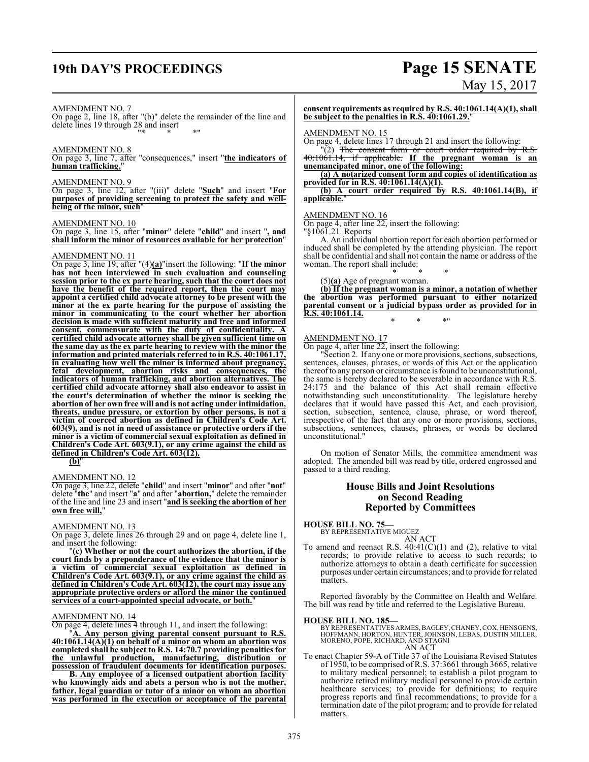## **19th DAY'S PROCEEDINGS Page 15 SENATE**

# May 15, 2017

#### AMENDMENT NO. 7

On page 2, line 18, after "(b)" delete the remainder of the line and delete lines 19 through 28 and insert "\* \* \*"

#### AMENDMENT NO. 8

On page 3, line 7, after "consequences," insert "**the indicators of human trafficking,**"

#### AMENDMENT NO. 9

On page 3, line 12, after "(iii)" delete "**Such**" and insert "**For purposes of providing screening to protect the safety and wellbeing of the minor, such**"

#### AMENDMENT NO. 10

On page 3, line 15, after "**minor**" delete "**child**" and insert "**, and shall inform the minor of resources available for her protection**"

#### AMENDMENT NO. 11

On page 3, line 19, after "(4)**(a)**"insert the following: "**If the minor has not been interviewed in such evaluation and counseling session prior to the ex parte hearing, such that the court does not have the benefit of the required report, then the court may appoint a certified child advocate attorney to be present with the minor at the ex parte hearing for the purpose of assisting the minor in communicating to the court whether her abortion decision is made with sufficient maturity and free and informed consent, commensurate with the duty of confidentiality. A certified child advocate attorney shall be given sufficient time on the same day as the ex parte hearing to review with the minor the information and printed materials referred to in R.S. 40:1061.17, in evaluating how well the minor is informed about pregnancy, fetal development, abortion risks and consequences, the indicators of human trafficking, and abortion alternatives. The certified child advocate attorney shall also endeavor to assist in the court's determination of whether the minor is seeking the abortion of her own free will and is not acting under intimidation, threats, undue pressure, or extortion by other persons, is not a victim of coerced abortion as defined in Children's Code Art. 603(9), and is not in need of assistance or protective orders if the minor is a victim of commercial sexual exploitation as defined in Children's Code Art. 603(9.1), or any crime against the child as defined in Children's Code Art. 603(12).**

**(b)**"

#### AMENDMENT NO. 12

On page 3, line 22, delete "**child**" and insert "**minor**" and after "**not**" delete "**the**" and insert "**a**" and after "**abortion,**" delete the remainder of the line and line 23 and insert "**and is seeking the abortion of her own free will,**"

#### AMENDMENT NO. 13

On page 3, delete lines 26 through 29 and on page 4, delete line 1, and insert the following:

"**(c) Whether or not the court authorizes the abortion, if the court finds by a preponderance of the evidence that the minor is a victim of commercial sexual exploitation as defined in Children's Code Art. 603(9.1), or any crime against the child as defined in Children's Code Art. 603(12), the court may issue any appropriate protective orders or afford the minor the continued services of a court-appointed special advocate, or both.**"

#### AMENDMENT NO. 14

On page 4, delete lines 4 through 11, and insert the following:

"**A. Any person giving parental consent pursuant to R.S. 40:1061.14(A)(1) on behalf of a minor on whom an abortion was completed shall be subject to R.S. 14:70.7 providing penalties for the unlawful production, manufacturing, distribution or possession of fraudulent documents for identification purposes.** 

**B. Any employee of a licensed outpatient abortion facility who knowingly aids and abets a person who is not the mother, father, legal guardian or tutor of a minor on whom an abortion was performed in the execution or acceptance of the parental**

**consent requirements as required by R.S. 40:1061.14(A)(1), shall be subject to the penalties in R.S. 40:1061.29.**"

#### AMENDMENT NO. 15

On page 4, delete lines 17 through 21 and insert the following:

 $\Gamma(2)$  The consent form or court order required by R.S. 40:1061.14, if applicable. **If the pregnant woman is an unemancipated minor, one of the following:**

**(a) A notarized consent form and copies of identification as provided for in R.S. 40:1061.14(A)(1).**

#### **(b) A court order required by R.S. 40:1061.14(B), if applicable.**"

#### AMENDMENT NO. 16

On page 4, after line 22, insert the following:

"§1061.21. Reports

A. An individual abortion report for each abortion performed or induced shall be completed by the attending physician. The report shall be confidential and shall not contain the name or address of the woman. The report shall include:

#### \* \* \* (5)**(a)** Age of pregnant woman.

**(b) If the pregnant woman is a minor, a notation of whether the abortion was performed pursuant to either notarized parental consent or a judicial bypass order as provided for in R.S. 40:1061.14.**

\* \* \*"

#### AMENDMENT NO. 17

On page 4, after line 22, insert the following:

"Section 2. If any one or more provisions, sections, subsections, sentences, clauses, phrases, or words of this Act or the application thereofto any person or circumstance is found to be unconstitutional, the same is hereby declared to be severable in accordance with R.S. 24:175 and the balance of this Act shall remain effective notwithstanding such unconstitutionality. The legislature hereby declares that it would have passed this Act, and each provision, section, subsection, sentence, clause, phrase, or word thereof, irrespective of the fact that any one or more provisions, sections, subsections, sentences, clauses, phrases, or words be declared unconstitutional."

On motion of Senator Mills, the committee amendment was adopted. The amended bill was read by title, ordered engrossed and passed to a third reading.

#### **House Bills and Joint Resolutions on Second Reading Reported by Committees**

**HOUSE BILL NO. 75—** BY REPRESENTATIVE MIGUEZ

AN ACT

To amend and reenact R.S.  $40:41(\text{C})(1)$  and (2), relative to vital records; to provide relative to access to such records; to authorize attorneys to obtain a death certificate for succession purposes under certain circumstances; and to provide for related matters.

Reported favorably by the Committee on Health and Welfare. The bill was read by title and referred to the Legislative Bureau.

#### **HOUSE BILL NO. 185—**

BY REPRESENTATIVES ARMES, BAGLEY, CHANEY, COX, HENSGENS,<br>HOFFMANN, HORTON, HUNTER, JOHNSON, LEBAS, DUSTIN MILLER,<br>MORENO, POPE, RICHARD, AND STAGNI

AN ACT

To enact Chapter 59-A of Title 37 of the Louisiana Revised Statutes of 1950, to be comprised of R.S. 37:3661 through 3665, relative to military medical personnel; to establish a pilot program to authorize retired military medical personnel to provide certain healthcare services; to provide for definitions; to require progress reports and final recommendations; to provide for a termination date of the pilot program; and to provide for related matters.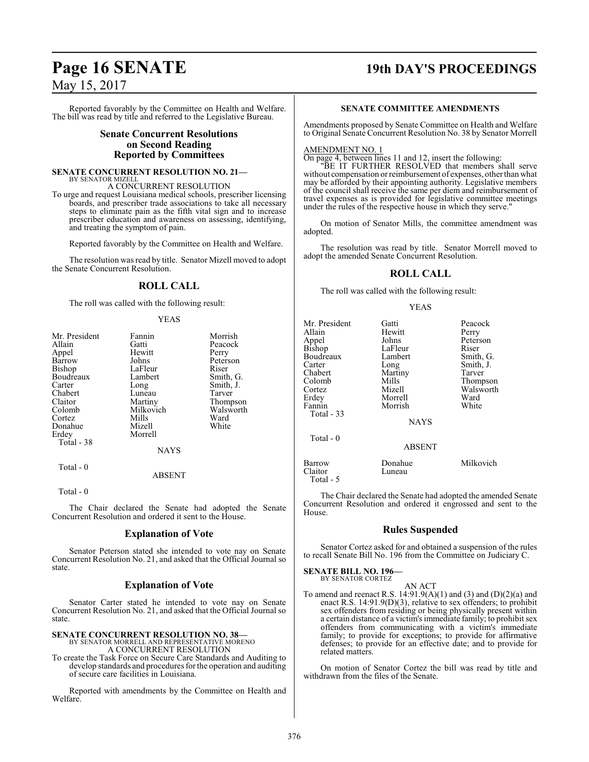# **Page 16 SENATE 19th DAY'S PROCEEDINGS**

May 15, 2017

Reported favorably by the Committee on Health and Welfare. The bill was read by title and referred to the Legislative Bureau.

#### **Senate Concurrent Resolutions on Second Reading Reported by Committees**

#### **SENATE CONCURRENT RESOLUTION NO. 21—**

BY SENATOR MIZELL A CONCURRENT RESOLUTION

To urge and request Louisiana medical schools, prescriber licensing boards, and prescriber trade associations to take all necessary steps to eliminate pain as the fifth vital sign and to increase prescriber education and awareness on assessing, identifying, and treating the symptom of pain.

Reported favorably by the Committee on Health and Welfare.

The resolution was read by title. Senator Mizell moved to adopt the Senate Concurrent Resolution.

## **ROLL CALL**

The roll was called with the following result:

#### YEAS

| Mr. President | Fannin      | Morrish   |
|---------------|-------------|-----------|
| Allain        | Gatti       | Peacock   |
| Appel         | Hewitt      | Perry     |
| Barrow        | Johns       | Peterson  |
| Bishop        | LaFleur     | Riser     |
| Boudreaux     | Lambert     | Smith, G. |
| Carter        | Long        | Smith, J. |
| Chabert       | Luneau      | Tarver    |
| Claitor       | Martiny     | Thompson  |
| Colomb        | Milkovich   | Walsworth |
| Cortez        | Mills       | Ward      |
| Donahue       | Mizell      | White     |
| Erdey         | Morrell     |           |
| Total - 38    |             |           |
|               | <b>NAYS</b> |           |
| Total - 0     |             |           |
|               | ABSENT      |           |

Total - 0

The Chair declared the Senate had adopted the Senate Concurrent Resolution and ordered it sent to the House.

#### **Explanation of Vote**

Senator Peterson stated she intended to vote nay on Senate Concurrent Resolution No. 21, and asked that the Official Journal so state.

#### **Explanation of Vote**

Senator Carter stated he intended to vote nay on Senate Concurrent Resolution No. 21, and asked that the Official Journal so state.

**SENATE CONCURRENT RESOLUTION NO. 38—** BY SENATOR MORRELL AND REPRESENTATIVE MORENO

A CONCURRENT RESOLUTION

To create the Task Force on Secure Care Standards and Auditing to develop standards and procedures for the operation and auditing of secure care facilities in Louisiana.

Reported with amendments by the Committee on Health and Welfare.

#### **SENATE COMMITTEE AMENDMENTS**

Amendments proposed by Senate Committee on Health and Welfare to Original Senate Concurrent Resolution No. 38 by Senator Morrell

#### AMENDMENT NO. 1

On page 4, between lines 11 and 12, insert the following:

"BE IT FURTHER RESOLVED that members shall serve without compensation or reimbursement of expenses, other than what may be afforded by their appointing authority. Legislative members of the council shall receive the same per diem and reimbursement of travel expenses as is provided for legislative committee meetings under the rules of the respective house in which they serve."

On motion of Senator Mills, the committee amendment was adopted.

The resolution was read by title. Senator Morrell moved to adopt the amended Senate Concurrent Resolution.

#### **ROLL CALL**

The roll was called with the following result:

#### YEAS

| Mr. President<br>Allain<br>Appel<br>Bishop<br>Boudreaux<br>Carter<br>Chabert<br>Colomb<br>Cortez<br>Erdey<br>Fannin<br>Total $-33$ | Gatti<br>Hewitt<br>Johns<br>LaFleur<br>Lambert<br>Long<br>Martiny<br>Mills<br>Mizell<br>Morrell<br>Morrish<br><b>NAYS</b> | Peacock<br>Perry<br>Peterson<br>Riser<br>Smith, G.<br>Smith, J.<br>Tarver<br>Thompson<br>Walsworth<br>Ward<br>White |
|------------------------------------------------------------------------------------------------------------------------------------|---------------------------------------------------------------------------------------------------------------------------|---------------------------------------------------------------------------------------------------------------------|
| Total $-0$                                                                                                                         | <b>ABSENT</b>                                                                                                             |                                                                                                                     |
| Barrow<br>Claitor                                                                                                                  | Donahue<br>Luneau                                                                                                         | Milkovich                                                                                                           |

The Chair declared the Senate had adopted the amended Senate Concurrent Resolution and ordered it engrossed and sent to the House.

#### **Rules Suspended**

Senator Cortez asked for and obtained a suspension of the rules to recall Senate Bill No. 196 from the Committee on Judiciary C.

#### **SENATE BILL NO. 196—** BY SENATOR CORTEZ

Total - 5

AN ACT

To amend and reenact R.S.  $14:91.9(A)(1)$  and  $(3)$  and  $(D)(2)(a)$  and enact R.S. 14:91.9(D)(3), relative to sex offenders; to prohibit sex offenders from residing or being physically present within a certain distance of a victim's immediate family; to prohibit sex offenders from communicating with a victim's immediate family; to provide for exceptions; to provide for affirmative defenses; to provide for an effective date; and to provide for related matters.

On motion of Senator Cortez the bill was read by title and withdrawn from the files of the Senate.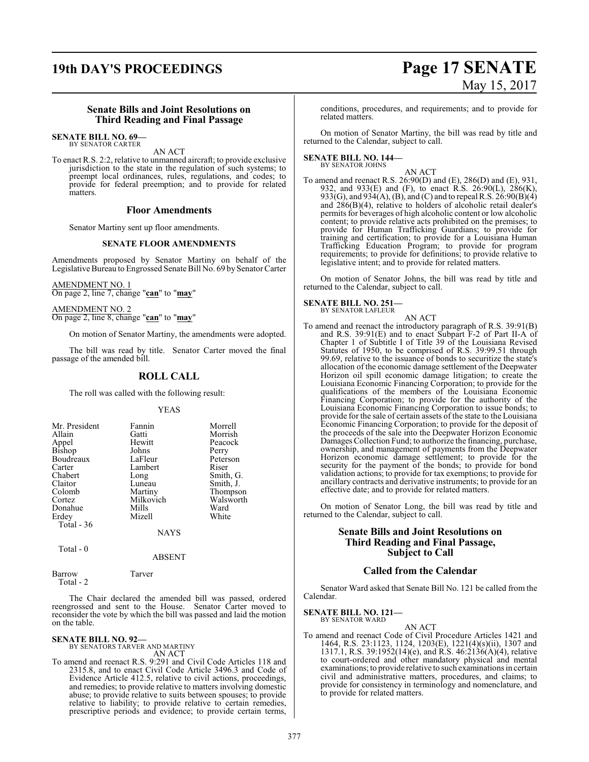## **19th DAY'S PROCEEDINGS Page 17 SENATE**

# May 15, 2017

#### **Senate Bills and Joint Resolutions on Third Reading and Final Passage**

#### **SENATE BILL NO. 69—** BY SENATOR CARTER

AN ACT

To enact R.S. 2:2, relative to unmanned aircraft; to provide exclusive jurisdiction to the state in the regulation of such systems; to preempt local ordinances, rules, regulations, and codes; to provide for federal preemption; and to provide for related matters.

#### **Floor Amendments**

Senator Martiny sent up floor amendments.

#### **SENATE FLOOR AMENDMENTS**

Amendments proposed by Senator Martiny on behalf of the Legislative Bureau to Engrossed Senate Bill No. 69 by Senator Carter

AMENDMENT NO. 1 On page 2, line 7, change "**can**" to "**may**"

AMENDMENT NO. 2 On page 2, line 8, change "**can**" to "**may**"

On motion of Senator Martiny, the amendments were adopted.

The bill was read by title. Senator Carter moved the final passage of the amended bill.

### **ROLL CALL**

The roll was called with the following result:

#### YEAS

| Mr. President | Fannin      | Morrell   |
|---------------|-------------|-----------|
| Allain        | Gatti       | Morrish   |
| Appel         | Hewitt      | Peacock   |
| Bishop        | Johns       | Perry     |
| Boudreaux     | LaFleur     | Peterson  |
| Carter        | Lambert     | Riser     |
| Chabert       | Long        | Smith, G. |
| Claitor       | Luneau      | Smith, J. |
| Colomb        | Martiny     | Thompson  |
| Cortez        | Milkovich   | Walsworth |
| Donahue       | Mills       | Ward      |
| Erdey         | Mizell      | White     |
| Total $-36$   |             |           |
|               | <b>NAYS</b> |           |

Total - 0

ABSENT

Barrow Tarver Total - 2

The Chair declared the amended bill was passed, ordered reengrossed and sent to the House. Senator Carter moved to reconsider the vote by which the bill was passed and laid the motion on the table.

**SENATE BILL NO. 92—** BY SENATORS TARVER AND MARTINY AN ACT

To amend and reenact R.S. 9:291 and Civil Code Articles 118 and 2315.8, and to enact Civil Code Article 3496.3 and Code of Evidence Article 412.5, relative to civil actions, proceedings, and remedies; to provide relative to matters involving domestic abuse; to provide relative to suits between spouses; to provide relative to liability; to provide relative to certain remedies, prescriptive periods and evidence; to provide certain terms,

conditions, procedures, and requirements; and to provide for related matters.

On motion of Senator Martiny, the bill was read by title and returned to the Calendar, subject to call.

## **SENATE BILL NO. 144—** BY SENATOR JOHNS

AN ACT

To amend and reenact R.S. 26:90(D) and (E), 286(D) and (E), 931, 932, and 933(E) and (F), to enact R.S. 26:90(L), 286(K), 933(G), and 934(A), (B), and (C) and to repeal R.S. 26:90(B)(4) and 286(B)(4), relative to holders of alcoholic retail dealer's permits for beverages of high alcoholic content or low alcoholic content; to provide relative acts prohibited on the premises; to provide for Human Trafficking Guardians; to provide for training and certification; to provide for a Louisiana Human Trafficking Education Program; to provide for program requirements; to provide for definitions; to provide relative to legislative intent; and to provide for related matters.

On motion of Senator Johns, the bill was read by title and returned to the Calendar, subject to call.

#### **SENATE BILL NO. 251—** BY SENATOR LAFLEUR

AN ACT

To amend and reenact the introductory paragraph of R.S. 39:91(B) and R.S. 39:91(E) and to enact Subpart F-2 of Part II-A of Chapter 1 of Subtitle I of Title 39 of the Louisiana Revised Statutes of 1950, to be comprised of R.S. 39:99.51 through 99.69, relative to the issuance of bonds to securitize the state's allocation of the economic damage settlement of the Deepwater Horizon oil spill economic damage litigation; to create the Louisiana Economic Financing Corporation; to provide for the qualifications of the members of the Louisiana Economic Financing Corporation; to provide for the authority of the Louisiana Economic Financing Corporation to issue bonds; to provide for the sale of certain assets of the state to the Louisiana Economic Financing Corporation; to provide for the deposit of the proceeds of the sale into the Deepwater Horizon Economic Damages Collection Fund; to authorize the financing, purchase, ownership, and management of payments from the Deepwater Horizon economic damage settlement; to provide for the security for the payment of the bonds; to provide for bond validation actions; to provide for tax exemptions; to provide for ancillary contracts and derivative instruments; to provide for an effective date; and to provide for related matters.

On motion of Senator Long, the bill was read by title and returned to the Calendar, subject to call.

#### **Senate Bills and Joint Resolutions on Third Reading and Final Passage, Subject to Call**

#### **Called from the Calendar**

Senator Ward asked that Senate Bill No. 121 be called from the Calendar.

## **SENATE BILL NO. 121—** BY SENATOR WARD

AN ACT To amend and reenact Code of Civil Procedure Articles 1421 and 1464, R.S. 23:1123, 1124, 1203(E), 1221(4)(s)(ii), 1307 and 1317.1, R.S. 39:1952(14)(e), and R.S. 46:2136(A)(4), relative to court-ordered and other mandatory physical and mental examinations; to provide relative to such examinations in certain civil and administrative matters, procedures, and claims; to provide for consistency in terminology and nomenclature, and to provide for related matters.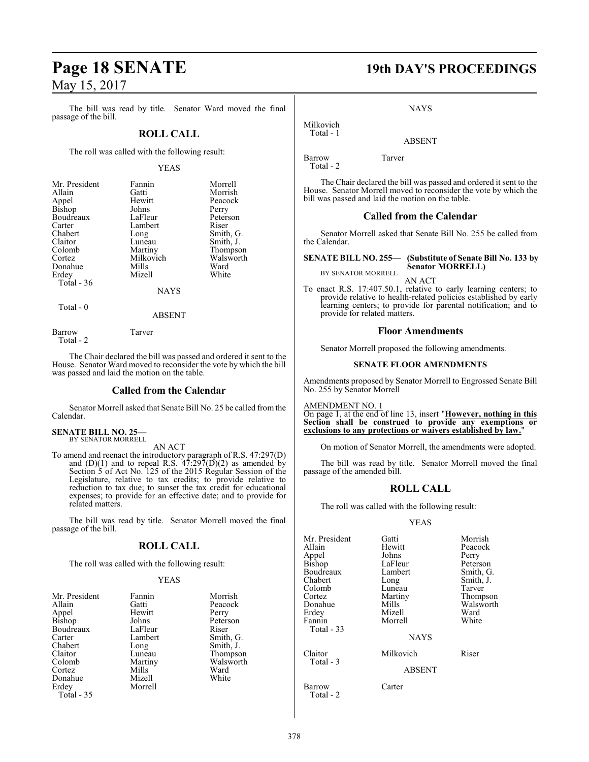The bill was read by title. Senator Ward moved the final passage of the bill.

#### **ROLL CALL**

The roll was called with the following result:

#### YEAS

| Mr. President | Fannin      | Morrell   |
|---------------|-------------|-----------|
| Allain        | Gatti       | Morrish   |
| Appel         | Hewitt      | Peacock   |
| <b>Bishop</b> | Johns       | Perry     |
| Boudreaux     | LaFleur     | Peterson  |
| Carter        | Lambert     | Riser     |
| Chabert       | Long        | Smith, G. |
| Claitor       | Luneau      | Smith, J. |
| Colomb        | Martiny     | Thompson  |
| Cortez        | Milkovich   | Walsworth |
| Donahue       | Mills       | Ward      |
| Erdey         | Mizell      | White     |
| Total $-36$   |             |           |
|               | <b>NAYS</b> |           |

Total - 0

Barrow Tarver

Total - 2

The Chair declared the bill was passed and ordered it sent to the House. Senator Ward moved to reconsider the vote by which the bill was passed and laid the motion on the table.

ABSENT

#### **Called from the Calendar**

Senator Morrell asked that Senate Bill No. 25 be called from the Calendar.

**SENATE BILL NO. 25—** BY SENATOR MORRELL

AN ACT

To amend and reenact the introductory paragraph of R.S. 47:297(D) and  $(D)(1)$  and to repeal R.S.  $47:297(D)(2)$  as amended by Section 5 of Act No. 125 of the 2015 Regular Session of the Legislature, relative to tax credits; to provide relative to reduction to tax due; to sunset the tax credit for educational expenses; to provide for an effective date; and to provide for related matters.

The bill was read by title. Senator Morrell moved the final passage of the bill.

#### **ROLL CALL**

The roll was called with the following result:

#### YEAS

| Mr. President<br>Allain<br>Appel<br><b>Bishop</b><br>Boudreaux<br>Carter<br>Chabert<br>Claitor<br>Colomb<br>Cortez<br>Donahue<br>Erdey<br>Total - 35 | Fannin<br>Gatti<br>Hewitt<br>Johns<br>LaFleur<br>Lambert<br>Long<br>Luneau<br>Martiny<br>Mills<br>Mizell<br>Morrell | Morrish<br>Peacock<br>Perry<br>Peterson<br>Riser<br>Smith, G.<br>Smith, J.<br>Thompson<br>Walsworth<br>Ward<br>White |
|------------------------------------------------------------------------------------------------------------------------------------------------------|---------------------------------------------------------------------------------------------------------------------|----------------------------------------------------------------------------------------------------------------------|
|------------------------------------------------------------------------------------------------------------------------------------------------------|---------------------------------------------------------------------------------------------------------------------|----------------------------------------------------------------------------------------------------------------------|

## **Page 18 SENATE 19th DAY'S PROCEEDINGS**

**NAYS** 

## ABSENT

Barrow Tarver Total - 2

Milkovich Total - 1

The Chair declared the bill was passed and ordered it sent to the House. Senator Morrell moved to reconsider the vote by which the bill was passed and laid the motion on the table.

#### **Called from the Calendar**

Senator Morrell asked that Senate Bill No. 255 be called from the Calendar.

#### **SENATE BILL NO. 255— (Substitute of Senate Bill No. 133 by Senator MORRELL)** BY SENATOR MORRELL

AN ACT

To enact R.S. 17:407.50.1, relative to early learning centers; to provide relative to health-related policies established by early learning centers; to provide for parental notification; and to provide for related matters.

#### **Floor Amendments**

Senator Morrell proposed the following amendments.

#### **SENATE FLOOR AMENDMENTS**

Amendments proposed by Senator Morrell to Engrossed Senate Bill No. 255 by Senator Morrell

AMENDMENT NO. 1

On page 1, at the end of line 13, insert "**However, nothing in this Section shall be construed to provide any exemptions or exclusions to any protections or waivers established by law.**"

On motion of Senator Morrell, the amendments were adopted.

The bill was read by title. Senator Morrell moved the final passage of the amended bill.

#### **ROLL CALL**

The roll was called with the following result:

YEAS

| Mr. President        | Gatti         | Morrish   |
|----------------------|---------------|-----------|
| Allain               | Hewitt        | Peacock   |
| Appel                | Johns         | Perry     |
| <b>Bishop</b>        | LaFleur       | Peterson  |
| Boudreaux            | Lambert       | Smith, G. |
| Chabert              |               | Smith, J. |
|                      | Long          |           |
| Colomb               | Luneau        | Tarver    |
| Cortez               | Martiny       | Thompson  |
| Donahue              | Mills         | Walsworth |
| Erdey                | Mizell        | Ward      |
| Fannin               | Morrell       | White     |
| Total $-33$          |               |           |
|                      | <b>NAYS</b>   |           |
| Claitor<br>Total - 3 | Milkovich     | Riser     |
|                      |               |           |
|                      | <b>ABSENT</b> |           |
| Barrow<br>Total - 2  | Carter        |           |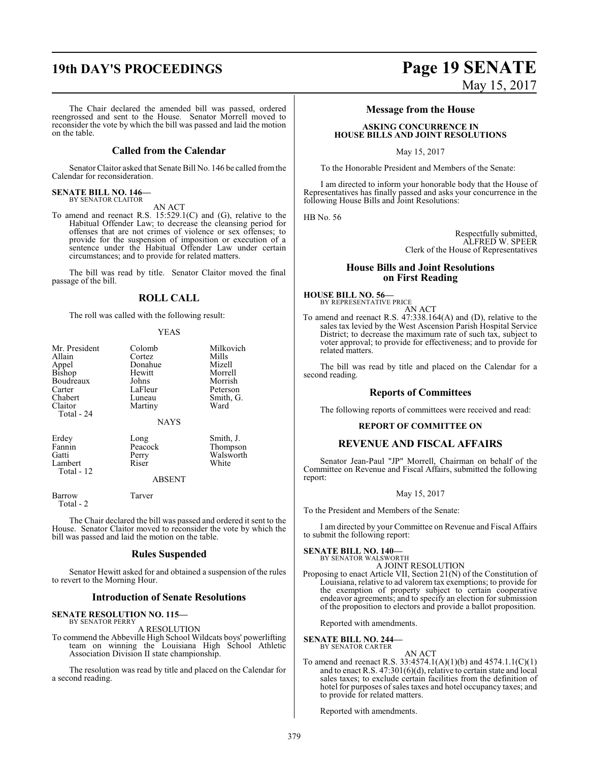The Chair declared the amended bill was passed, ordered reengrossed and sent to the House. Senator Morrell moved to reconsider the vote by which the bill was passed and laid the motion on the table.

#### **Called from the Calendar**

Senator Claitor asked that Senate Bill No. 146 be called fromthe Calendar for reconsideration.

#### **SENATE BILL NO. 146—** BY SENATOR CLAITOR

AN ACT

To amend and reenact R.S. 15:529.1(C) and (G), relative to the Habitual Offender Law; to decrease the cleansing period for offenses that are not crimes of violence or sex offenses; to provide for the suspension of imposition or execution of a sentence under the Habitual Offender Law under certain circumstances; and to provide for related matters.

The bill was read by title. Senator Claitor moved the final passage of the bill.

#### **ROLL CALL**

The roll was called with the following result:

#### YEAS

| Mr. President<br>Allain<br>Appel<br>Bishop<br>Boudreaux<br>Carter<br>Chabert<br>Claitor<br>Total - 24 | Colomb<br>Cortez<br>Donahue<br>Hewitt<br>Johns<br>LaFleur<br>Luneau<br>Martiny | Milkovich<br>Mills<br>Mizell<br>Morrell<br>Morrish<br>Peterson<br>Smith, G.<br>Ward |
|-------------------------------------------------------------------------------------------------------|--------------------------------------------------------------------------------|-------------------------------------------------------------------------------------|
|                                                                                                       | <b>NAYS</b>                                                                    |                                                                                     |
| Erdey<br>Fannin<br>Gatti<br>Lambert<br>Total - 12                                                     | Long<br>Peacock<br>Perry<br>Riser                                              | Smith, J.<br>Thompson<br>Walsworth<br>White                                         |
|                                                                                                       | ABSENT                                                                         |                                                                                     |

Total - 2

Barrow Tarver

The Chair declared the bill was passed and ordered it sent to the House. Senator Claitor moved to reconsider the vote by which the bill was passed and laid the motion on the table.

#### **Rules Suspended**

Senator Hewitt asked for and obtained a suspension of the rules to revert to the Morning Hour.

#### **Introduction of Senate Resolutions**

#### **SENATE RESOLUTION NO. 115—** BY SENATOR PERRY

A RESOLUTION

To commend the Abbeville High School Wildcats boys' powerlifting team on winning the Louisiana High School Athletic Association Division II state championship.

The resolution was read by title and placed on the Calendar for a second reading.

## **19th DAY'S PROCEEDINGS Page 19 SENATE** May 15, 2017

#### **Message from the House**

#### **ASKING CONCURRENCE IN HOUSE BILLS AND JOINT RESOLUTIONS**

May 15, 2017

To the Honorable President and Members of the Senate:

I am directed to inform your honorable body that the House of Representatives has finally passed and asks your concurrence in the following House Bills and Joint Resolutions:

HB No. 56

Respectfully submitted, ALFRED W. SPEER Clerk of the House of Representatives

#### **House Bills and Joint Resolutions on First Reading**

**HOUSE BILL NO. 56—** BY REPRESENTATIVE PRICE

AN ACT To amend and reenact R.S. 47:338.164(A) and (D), relative to the sales tax levied by the West Ascension Parish Hospital Service District; to decrease the maximum rate of such tax, subject to voter approval; to provide for effectiveness; and to provide for related matters.

The bill was read by title and placed on the Calendar for a second reading.

#### **Reports of Committees**

The following reports of committees were received and read:

#### **REPORT OF COMMITTEE ON**

#### **REVENUE AND FISCAL AFFAIRS**

Senator Jean-Paul "JP" Morrell, Chairman on behalf of the Committee on Revenue and Fiscal Affairs, submitted the following report:

#### May 15, 2017

To the President and Members of the Senate:

I am directed by your Committee on Revenue and Fiscal Affairs to submit the following report:

#### **SENATE BILL NO. 140—** BY SENATOR WALSWORTH

A JOINT RESOLUTION

Proposing to enact Article VII, Section 21(N) of the Constitution of Louisiana, relative to ad valorem tax exemptions; to provide for the exemption of property subject to certain cooperative endeavor agreements; and to specify an election for submission of the proposition to electors and provide a ballot proposition.

Reported with amendments.

**SENATE BILL NO. 244—**

BY SENATOR CARTER

#### AN ACT To amend and reenact R.S. 33:4574.1(A)(1)(b) and 4574.1.1(C)(1) and to enact R.S. 47:301(6)(d), relative to certain state and local sales taxes; to exclude certain facilities from the definition of hotel for purposes of sales taxes and hotel occupancy taxes; and to provide for related matters.

Reported with amendments.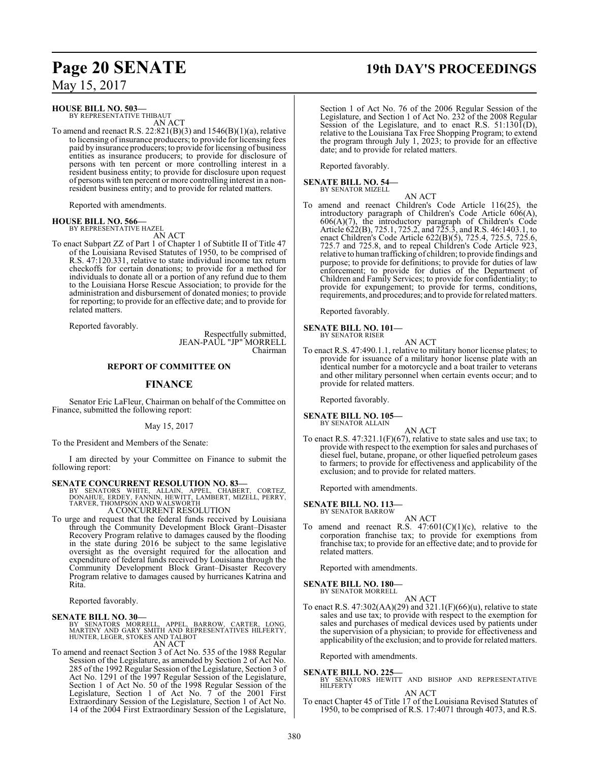**HOUSE BILL NO. 503—**

BY REPRESENTATIVE THIBAUT AN ACT

To amend and reenact R.S.  $22:821(B)(3)$  and  $1546(B)(1)(a)$ , relative to licensing of insurance producers; to provide for licensing fees paid by insurance producers; to provide for licensing of business entities as insurance producers; to provide for disclosure of persons with ten percent or more controlling interest in a resident business entity; to provide for disclosure upon request of persons with ten percent or more controlling interest in a nonresident business entity; and to provide for related matters.

Reported with amendments.

#### **HOUSE BILL NO. 566—** BY REPRESENTATIVE HAZEL

AN ACT

To enact Subpart ZZ of Part 1 of Chapter 1 of Subtitle II of Title 47 of the Louisiana Revised Statutes of 1950, to be comprised of R.S. 47:120.331, relative to state individual income tax return checkoffs for certain donations; to provide for a method for individuals to donate all or a portion of any refund due to them to the Louisiana Horse Rescue Association; to provide for the administration and disbursement of donated monies; to provide for reporting; to provide for an effective date; and to provide for related matters.

Reported favorably.

Respectfully submitted, JEAN-PAUL "JP" MORRELL Chairman

#### **REPORT OF COMMITTEE ON**

### **FINANCE**

Senator Eric LaFleur, Chairman on behalf of the Committee on Finance, submitted the following report:

May 15, 2017

To the President and Members of the Senate:

I am directed by your Committee on Finance to submit the following report:

#### **SENATE CONCURRENT RESOLUTION NO. 83—**

BY SENATORS WHITE, ALLAIN, APPEL, CHABERT, CORTEZ,<br>DONAHUE, ERDEY, FANNIN, HEWITT, LAMBERT, MIZELL, PERRY,<br>TARVER,THOMPSON AND WALSWORTH

#### A CONCURRENT RESOLUTION

To urge and request that the federal funds received by Louisiana through the Community Development Block Grant–Disaster Recovery Program relative to damages caused by the flooding in the state during 2016 be subject to the same legislative oversight as the oversight required for the allocation and expenditure of federal funds received by Louisiana through the Community Development Block Grant–Disaster Recovery Program relative to damages caused by hurricanes Katrina and Rita.

Reported favorably.

#### **SENATE BILL NO. 30—**

- BY SENATORS MORRELL, APPEL, BARROW, CARTER, LONG,<br>MARTINY AND GARY SMITH AND REPRESENTATIVES HILFERTY,<br>HUNTER,LEGER,STOKES AND TALBOT AN ACT
- To amend and reenact Section 3 of Act No. 535 of the 1988 Regular Session of the Legislature, as amended by Section 2 of Act No. 285 of the 1992 Regular Session of the Legislature, Section 3 of Act No. 1291 of the 1997 Regular Session of the Legislature, Section 1 of Act No. 50 of the 1998 Regular Session of the Legislature, Section 1 of Act No. 7 of the 2001 First Extraordinary Session of the Legislature, Section 1 of Act No. 14 of the 2004 First Extraordinary Session of the Legislature,

## **Page 20 SENATE 19th DAY'S PROCEEDINGS**

Section 1 of Act No. 76 of the 2006 Regular Session of the Legislature, and Section 1 of Act No. 232 of the 2008 Regular Session of the Legislature, and to enact R.S. 51:1301(D), relative to the Louisiana Tax Free Shopping Program; to extend the program through July 1, 2023; to provide for an effective date; and to provide for related matters.

Reported favorably.

#### **SENATE BILL NO. 54—** BY SENATOR MIZELL

- AN ACT
- To amend and reenact Children's Code Article 116(25), the introductory paragraph of Children's Code Article 606(A), 606(A)(7), the introductory paragraph of Children's Code Article 622(B), 725.1, 725.2, and 725.3, and R.S. 46:1403.1, to enact Children's Code Article 622(B)(5), 725.4, 725.5, 725.6, 725.7 and 725.8, and to repeal Children's Code Article 923, relative to human trafficking of children; to provide findings and purpose; to provide for definitions; to provide for duties of law enforcement; to provide for duties of the Department of Children and Family Services; to provide for confidentiality; to provide for expungement; to provide for terms, conditions, requirements, and procedures; and to provide for related matters.

Reported favorably.

#### **SENATE BILL NO. 101—**

BY SENATOR RISER

AN ACT To enact R.S. 47:490.1.1, relative to military honor license plates; to provide for issuance of a military honor license plate with an identical number for a motorcycle and a boat trailer to veterans and other military personnel when certain events occur; and to provide for related matters.

Reported favorably.

#### **SENATE BILL NO. 105—**

BY SENATOR ALLAIN

AN ACT To enact R.S. 47:321.1(F)(67), relative to state sales and use tax; to provide with respect to the exemption forsales and purchases of diesel fuel, butane, propane, or other liquefied petroleum gases to farmers; to provide for effectiveness and applicability of the exclusion; and to provide for related matters.

Reported with amendments.

#### **SENATE BILL NO. 113—** BY SENATOR BARROW

AN ACT To amend and reenact R.S.  $47:601(C)(1)(c)$ , relative to the corporation franchise tax; to provide for exemptions from franchise tax; to provide for an effective date; and to provide for related matters.

Reported with amendments.

#### **SENATE BILL NO. 180—** BY SENATOR MORRELL

AN ACT

To enact R.S. 47:302(AA)(29) and 321.1(F)(66)(u), relative to state sales and use tax; to provide with respect to the exemption for sales and purchases of medical devices used by patients under the supervision of a physician; to provide for effectiveness and applicability of the exclusion; and to provide for related matters.

Reported with amendments.

#### **SENATE BILL NO. 225—**

BY SENATORS HEWITT AND BISHOP AND REPRESENTATIVE HILFERTY

AN ACT To enact Chapter 45 of Title 17 of the Louisiana Revised Statutes of 1950, to be comprised of R.S. 17:4071 through 4073, and R.S.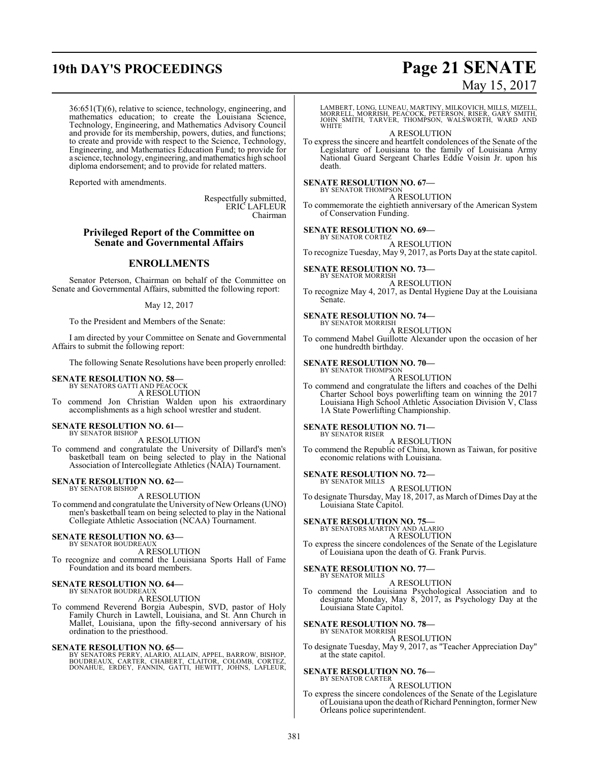## **19th DAY'S PROCEEDINGS Page 21 SENATE**

36:651(T)(6), relative to science, technology, engineering, and mathematics education; to create the Louisiana Science, Technology, Engineering, and Mathematics Advisory Council and provide for its membership, powers, duties, and functions; to create and provide with respect to the Science, Technology, Engineering, and Mathematics Education Fund; to provide for a science, technology, engineering, andmathematics high school diploma endorsement; and to provide for related matters.

Reported with amendments.

Respectfully submitted, ERIC LAFLEUR Chairman

#### **Privileged Report of the Committee on Senate and Governmental Affairs**

#### **ENROLLMENTS**

Senator Peterson, Chairman on behalf of the Committee on Senate and Governmental Affairs, submitted the following report:

#### May 12, 2017

To the President and Members of the Senate:

I am directed by your Committee on Senate and Governmental Affairs to submit the following report:

The following Senate Resolutions have been properly enrolled:

## **SENATE RESOLUTION NO. 58—** BY SENATORS GATTI AND PEACOCK

A RESOLUTION

To commend Jon Christian Walden upon his extraordinary accomplishments as a high school wrestler and student.

#### **SENATE RESOLUTION NO. 61—** BY SENATOR BISHOP

A RESOLUTION

To commend and congratulate the University of Dillard's men's basketball team on being selected to play in the National Association of Intercollegiate Athletics (NAIA) Tournament.

## **SENATE RESOLUTION NO. 62—** BY SENATOR BISHOP

A RESOLUTION

To commend and congratulate the University of New Orleans (UNO) men's basketball team on being selected to play in the National Collegiate Athletic Association (NCAA) Tournament.

## **SENATE RESOLUTION NO. 63—** BY SENATOR BOUDREAUX

A RESOLUTION

To recognize and commend the Louisiana Sports Hall of Fame Foundation and its board members.

#### **SENATE RESOLUTION NO. 64—** BY SENATOR BOUDREAUX

A RESOLUTION

To commend Reverend Borgia Aubespin, SVD, pastor of Holy Family Church in Lawtell, Louisiana, and St. Ann Church in Mallet, Louisiana, upon the fifty-second anniversary of his ordination to the priesthood.

#### **SENATE RESOLUTION NO. 65—**

BY SENATORS PERRY, ALARIO, ALLAIN, APPEL, BARROW, BISHOP,<br>BOUDREAUX, CARTER, CHABERT, CLÀITOR, COLOMB, CORTEZ,<br>DONAHUE, ERDEY, FANNIN, GATTI, HEWITT, JOHNS, LAFLEUR,

# May 15, 2017

LAMBERT, LONG, LUNEAU, MARTINY, MILKOVICH, MILLS, MIZELL, MORRELL, MORRISH, PEACOCK, PETERSON, RISER, GARY SMITH, JOHN SMITH, TARVER, THOMPSON, WALSWORTH, WARD AND **WHITE** 

A RESOLUTION

To express the sincere and heartfelt condolences of the Senate of the Legislature of Louisiana to the family of Louisiana Army National Guard Sergeant Charles Eddie Voisin Jr. upon his death.

#### **SENATE RESOLUTION NO. 67—** BY SENATOR THOMPSON

A RESOLUTION To commemorate the eightieth anniversary of the American System of Conservation Funding.

#### **SENATE RESOLUTION NO. 69—**

BY SENATOR CORTEZ A RESOLUTION

To recognize Tuesday, May 9, 2017, as Ports Day at the state capitol.

**SENATE RESOLUTION NO. 73—** BY SENATOR MORRISH

A RESOLUTION

To recognize May 4, 2017, as Dental Hygiene Day at the Louisiana Senate.

#### **SENATE RESOLUTION NO. 74—** BY SENATOR MORRISH

A RESOLUTION

To commend Mabel Guillotte Alexander upon the occasion of her one hundredth birthday.

#### **SENATE RESOLUTION NO. 70—**

BY SENATOR THOMPSON A RESOLUTION

To commend and congratulate the lifters and coaches of the Delhi Charter School boys powerlifting team on winning the 2017 Louisiana High School Athletic Association Division V, Class 1A State Powerlifting Championship.

**SENATE RESOLUTION NO. 71—** BY SENATOR RISER

A RESOLUTION

To commend the Republic of China, known as Taiwan, for positive economic relations with Louisiana.

#### **SENATE RESOLUTION NO. 72—**

BY SENATOR MILLS A RESOLUTION

To designate Thursday, May 18, 2017, as March of Dimes Day at the Louisiana State Capitol.

## **SENATE RESOLUTION NO. 75—** BY SENATORS MARTINY AND ALARIO

A RESOLUTION

To express the sincere condolences of the Senate of the Legislature of Louisiana upon the death of G. Frank Purvis.

#### **SENATE RESOLUTION NO. 77—** BY SENATOR MILLS

A RESOLUTION

To commend the Louisiana Psychological Association and to designate Monday, May 8, 2017, as Psychology Day at the Louisiana State Capitol.

#### **SENATE RESOLUTION NO. 78—** BY SENATOR MORRISH

#### A RESOLUTION

To designate Tuesday, May 9, 2017, as "Teacher Appreciation Day" at the state capitol.

#### **SENATE RESOLUTION NO. 76—**

#### BY SENATOR CARTER A RESOLUTION

To express the sincere condolences of the Senate of the Legislature of Louisiana upon the death of Richard Pennington, former New Orleans police superintendent.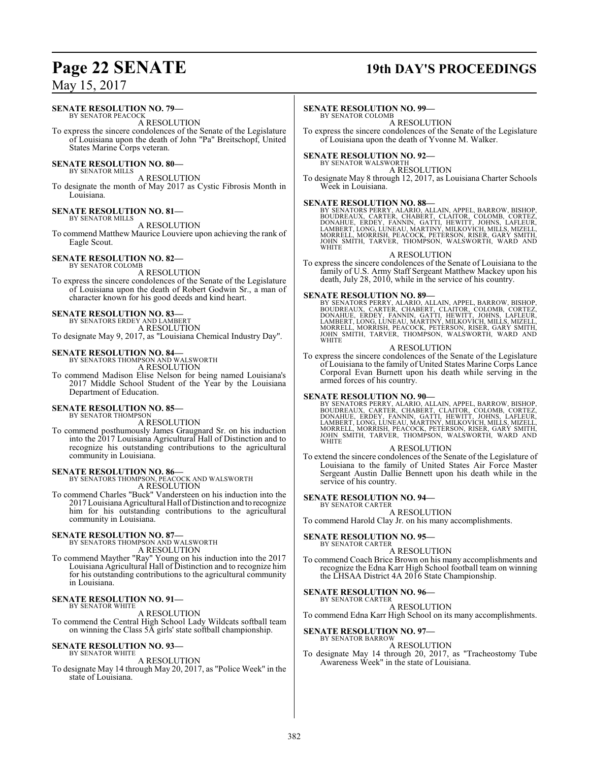#### **SENATE RESOLUTION NO. 79—**

BY SENATOR PEACOCK A RESOLUTION

To express the sincere condolences of the Senate of the Legislature of Louisiana upon the death of John "Pa" Breitschopf, United States Marine Corps veteran.

## **SENATE RESOLUTION NO. 80—** BY SENATOR MILLS

A RESOLUTION

To designate the month of May 2017 as Cystic Fibrosis Month in Louisiana.

#### **SENATE RESOLUTION NO. 81—** BY SENATOR MILLS

A RESOLUTION

To commend Matthew Maurice Louviere upon achieving the rank of Eagle Scout.

#### **SENATE RESOLUTION NO. 82—**

BY SENATOR COLOMB A RESOLUTION

To express the sincere condolences of the Senate of the Legislature of Louisiana upon the death of Robert Godwin Sr., a man of character known for his good deeds and kind heart.

#### **SENATE RESOLUTION NO. 83—**

BY SENATORS ERDEY AND LAMBERT A RESOLUTION

To designate May 9, 2017, as "Louisiana Chemical Industry Day".

#### **SENATE RESOLUTION NO. 84—**

BY SENATORS THOMPSON AND WALSWORTH A RESOLUTION

To commend Madison Elise Nelson for being named Louisiana's 2017 Middle School Student of the Year by the Louisiana Department of Education.

#### **SENATE RESOLUTION NO. 85—** BY SENATOR THOMPSON

A RESOLUTION

To commend posthumously James Graugnard Sr. on his induction into the 2017 Louisiana Agricultural Hall of Distinction and to recognize his outstanding contributions to the agricultural community in Louisiana.

**SENATE RESOLUTION NO. 86—**<br>BY SENATORS THOMPSON, PEACOCK AND WALSWORTH A RESOLUTION

To commend Charles "Buck" Vandersteen on his induction into the 2017 Louisiana Agricultural Hall ofDistinction and to recognize him for his outstanding contributions to the agricultural community in Louisiana.

# **SENATE RESOLUTION NO. 87—**<br>BY SENATORS THOMPSON AND WALSWORTH A RESOLUTION

To commend Mayther "Ray" Young on his induction into the 2017 Louisiana Agricultural Hall of Distinction and to recognize him for his outstanding contributions to the agricultural community in Louisiana.

#### **SENATE RESOLUTION NO. 91—** BY SENATOR WHITE

A RESOLUTION

To commend the Central High School Lady Wildcats softball team on winning the Class 5A girls' state softball championship.

#### **SENATE RESOLUTION NO. 93—** BY SENATOR WHITE

A RESOLUTION

To designate May 14 through May 20, 2017, as "Police Week" in the state of Louisiana.

## **Page 22 SENATE 19th DAY'S PROCEEDINGS**

#### **SENATE RESOLUTION NO. 99—**

BY SENATOR COLOMB

A RESOLUTION To express the sincere condolences of the Senate of the Legislature of Louisiana upon the death of Yvonne M. Walker.

# **SENATE RESOLUTION NO. 92—**<br>BY SENATOR WALSWORTH

A RESOLUTION

To designate May 8 through 12, 2017, as Louisiana Charter Schools Week in Louisiana.

#### **SENATE RESOLUTION NO. 88—**

BY SENATORS PERRY, ALARIO, ALLAIN, APPEL, BARROW, BISHOP,<br>BOUDREAUX, CARTER, CHABERT, CLAITOR, COLOMB, CORTEZ,<br>DONAHUE, ERDEY, FANNIN, GATTI, HEWITT, JOHNS, LAFLEUR,<br>LAMBERT, LONG, LUNEAU, MARTINY, MILKOVICH, MILLS, MIZELL

#### A RESOLUTION

To express the sincere condolences of the Senate of Louisiana to the family of U.S. Army Staff Sergeant Matthew Mackey upon his death, July 28, 2010, while in the service of his country.

SENATE RESOLUTION NO. 89-<br>BY SENATORS PERRY, ALARIO, ALLAIN, APPEL, BARROW, BISHOP, BOUDREAUX, CARTER, CHABERT, CLAITOR, COLOMB, CORTEZ,<br>DONAHUE, ERDEY, FANNIN, GATTI, HEWITT, JOHNS, LAFLEUR,<br>LAMBERT, LONG, LUNEAU, MARTINY WHITE

#### A RESOLUTION

To express the sincere condolences of the Senate of the Legislature of Louisiana to the family of United States Marine Corps Lance Corporal Evan Burnett upon his death while serving in the armed forces of his country.

SENATE RESOLUTION NO. 90—<br>BY SENATORS PERRY, ALARIO, ALLAIN, APPEL, BARROW, BISHOP, BOUDREAUX, CARTER, CHABERT, CLAITOR, COLOMB, CORTEZ,<br>DONAHUE, ERDEY, FANNIN, GATTI, HEWITT, JOHNS, LAFLEUR,<br>LAMBERT, LONG, LUNEAU, MARTINY WHITE

#### A RESOLUTION

To extend the sincere condolences of the Senate of the Legislature of Louisiana to the family of United States Air Force Master Sergeant Austin Dallie Bennett upon his death while in the service of his country.

#### **SENATE RESOLUTION NO. 94—**

BY SENATOR CARTER A RESOLUTION

To commend Harold Clay Jr. on his many accomplishments.

#### **SENATE RESOLUTION NO. 95—** BY SENATOR CARTER

A RESOLUTION

To commend Coach Brice Brown on his many accomplishments and recognize the Edna Karr High School football team on winning the LHSAA District 4A 2016 State Championship.

#### **SENATE RESOLUTION NO. 96—** BY SENATOR CARTER

A RESOLUTION

To commend Edna Karr High School on its many accomplishments.

### **SENATE RESOLUTION NO. 97—**

BY SENATOR BARROW

A RESOLUTION To designate May 14 through 20, 2017, as "Tracheostomy Tube Awareness Week" in the state of Louisiana.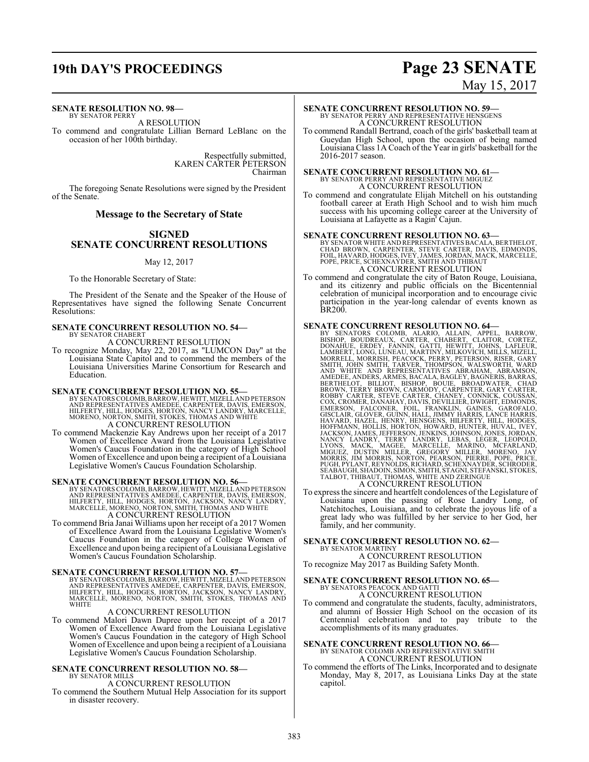## **19th DAY'S PROCEEDINGS Page 23 SENATE**

#### **SENATE RESOLUTION NO. 98—**

BY SENATOR PERRY A RESOLUTION

To commend and congratulate Lillian Bernard LeBlanc on the occasion of her 100th birthday.

> Respectfully submitted, KAREN CARTER PETERSON Chairman

The foregoing Senate Resolutions were signed by the President of the Senate.

#### **Message to the Secretary of State**

#### **SIGNED SENATE CONCURRENT RESOLUTIONS**

#### May 12, 2017

To the Honorable Secretary of State:

The President of the Senate and the Speaker of the House of Representatives have signed the following Senate Concurrent Resolutions:

#### **SENATE CONCURRENT RESOLUTION NO. 54—** BY SENATOR CHABERT

A CONCURRENT RESOLUTION

To recognize Monday, May 22, 2017, as "LUMCON Day" at the Louisiana State Capitol and to commend the members of the Louisiana Universities Marine Consortium for Research and Education.

#### **SENATE CONCURRENT RESOLUTION NO. 55—**

BY SENATORS COLOMB, BARROW, HEWITT, MIZELL AND PETERSON<br>AND REPRESENTATIVES AMEDEE, CARPENTER, DAVIS, EMERSON,<br>HILFERTY, HILL, HODGES, HORTON, NANCY LANDRY, MARCELLE,<br>MORENO, NORTON, SMITH, STOKES, THOMAS AND WHITE A CONCURRENT RESOLUTION

To commend Mackenzie Kay Andrews upon her receipt of a 2017 Women of Excellence Award from the Louisiana Legislative Women's Caucus Foundation in the category of High School Women of Excellence and upon being a recipient of a Louisiana Legislative Women's Caucus Foundation Scholarship.

**SENATE CONCURRENT RESOLUTION NO. 56—**<br>BY SENATORS COLOMB, BARROW, HEWITT, MIZELL AND PETERSON<br>AND REPRESENTATIVES AMEDEE, CARPENTER, DAVIS, EMERSON,<br>HILFERTY, HILL, HODGES, HORTON, JACKSON, NANCY LANDRY,<br>MARCELLE, MORENO, A CONCURRENT RESOLUTION

To commend Bria Janai Williams upon her receipt of a 2017 Women of Excellence Award from the Louisiana Legislative Women's Caucus Foundation in the category of College Women of Excellence and upon being a recipient of a Louisiana Legislative Women's Caucus Foundation Scholarship.

**SENATE CONCURRENT RESOLUTION NO. 57—**<br>BY SENATORS COLOMB, BARROW, HEWITT, MIZELL AND PETERSON<br>AND REPRESENTATIVES AMEDEE, CARPENTER, DAVIS, EMERSON,<br>HILFERTY, HILL, HODGES, HORTON, JACKSON, NANCY LANDRY,<br>MARCELLE, MORENO, WHITE

#### A CONCURRENT RESOLUTION

To commend Malori Dawn Dupree upon her receipt of a 2017 Women of Excellence Award from the Louisiana Legislative Women's Caucus Foundation in the category of High School Women of Excellence and upon being a recipient of a Louisiana Legislative Women's Caucus Foundation Scholarship.

#### **SENATE CONCURRENT RESOLUTION NO. 58—**

BY SENATOR MILLS A CONCURRENT RESOLUTION

To commend the Southern Mutual Help Association for its support in disaster recovery.

# May 15, 2017

## **SENATE CONCURRENT RESOLUTION NO. 59—** BY SENATOR PERRY AND REPRESENTATIVE HENSGENS A CONCURRENT RESOLUTION

To commend Randall Bertrand, coach of the girls' basketball team at Gueydan High School, upon the occasion of being named Louisiana Class 1A Coach of the Year in girls' basketball for the 2016-2017 season.

# **SENATE CONCURRENT RESOLUTION NO. 61—**<br>BY SENATOR PERRY AND REPRESENTATIVE MIGUEZ<br>A CONCURRENT RESOLUTION

To commend and congratulate Elijah Mitchell on his outstanding football career at Erath High School and to wish him much success with his upcoming college career at the University of Louisiana at Lafayette as a Ragin' Cajun.

**SENATE CONCURRENT RESOLUTION NO. 63**<br>BY SENATOR WHITE AND REPRESENTATIVES BACALA, BERTHELOT,<br>CHAD BROWN, CARPENTER, STEVE CARTER, DAVIS, EDMONDS,<br>FOIL, HAVARD, HODGES, IVEY, JAMES, JORDAN, MACK, MARCELLE,<br>POPE, PRICE, SCH A CONCURRENT RESOLUTION

To commend and congratulate the city of Baton Rouge, Louisiana, and its citizenry and public officials on the Bicentennial celebration of municipal incorporation and to encourage civic participation in the year-long calendar of events known as BR200.

- **SENATE CONCURRENT RESOLUTION NO. 64—**<br>BY SENATORS COLOMB, ALARIO, ALLAIN, APPEL, BARROW,<br>BISHOP, BOUDREAUX, CARTIER, CHABERT, CLAITOR, CORTEZ,<br>DONAHUE, ERDEY, FANNIN, GATTI, HEWITT, JOHNS, LAHEUR,<br>LAMBERT, LONG, LUNEAU, M
- To express the sincere and heartfelt condolences of the Legislature of Louisiana upon the passing of Rose Landry Long, of Natchitoches, Louisiana, and to celebrate the joyous life of a great lady who was fulfilled by her service to her God, her family, and her community.

#### **SENATE CONCURRENT RESOLUTION NO. 62—** BY SENATOR MARTINY

A CONCURRENT RESOLUTION To recognize May 2017 as Building Safety Month.

## **SENATE CONCURRENT RESOLUTION NO. 65—** BY SENATORS PEACOCK AND GATTI A CONCURRENT RESOLUTION

To commend and congratulate the students, faculty, administrators, and alumni of Bossier High School on the occasion of its Centennial celebration and to pay tribute to the accomplishments of its many graduates.

# **SENATE CONCURRENT RESOLUTION NO. 66—**<br>BY SENATOR COLOMB AND REPRESENTATIVE SMITH<br>A CONCURRENT RESOLUTION

To commend the efforts of The Links, Incorporated and to designate Monday, May 8, 2017, as Louisiana Links Day at the state capitol.